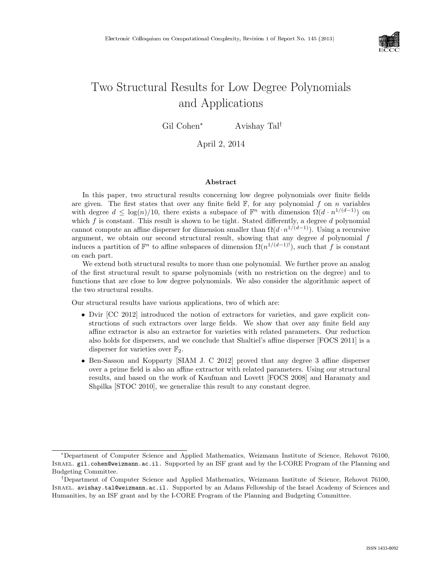

# Two Structural Results for Low Degree Polynomials and Applications

Gil Cohen<sup>∗</sup> Avishay Tal<sup>†</sup>

April 2, 2014

#### Abstract

In this paper, two structural results concerning low degree polynomials over finite fields are given. The first states that over any finite field  $\mathbb{F}$ , for any polynomial f on n variables with degree  $d \leq \log(n)/10$ , there exists a subspace of  $\mathbb{F}^n$  with dimension  $\Omega(d \cdot n^{1/(d-1)})$  on which  $f$  is constant. This result is shown to be tight. Stated differently, a degree  $d$  polynomial cannot compute an affine disperser for dimension smaller than  $\Omega(d \cdot n^{1/(d-1)})$ . Using a recursive argument, we obtain our second structural result, showing that any degree  $d$  polynomial  $f$ induces a partition of  $\mathbb{F}^n$  to affine subspaces of dimension  $\Omega(n^{1/(d-1)!})$ , such that f is constant on each part.

We extend both structural results to more than one polynomial. We further prove an analog of the first structural result to sparse polynomials (with no restriction on the degree) and to functions that are close to low degree polynomials. We also consider the algorithmic aspect of the two structural results.

Our structural results have various applications, two of which are:

- Dvir [CC 2012] introduced the notion of extractors for varieties, and gave explicit constructions of such extractors over large fields. We show that over any finite field any affine extractor is also an extractor for varieties with related parameters. Our reduction also holds for dispersers, and we conclude that Shaltiel's affine disperser [FOCS 2011] is a disperser for varieties over  $\mathbb{F}_2$ .
- Ben-Sasson and Kopparty [SIAM J. C 2012] proved that any degree 3 affine disperser over a prime field is also an affine extractor with related parameters. Using our structural results, and based on the work of Kaufman and Lovett [FOCS 2008] and Haramaty and Shpilka [STOC 2010], we generalize this result to any constant degree.

<sup>∗</sup>Department of Computer Science and Applied Mathematics, Weizmann Institute of Science, Rehovot 76100, Israel. gil.cohen@weizmann.ac.il. Supported by an ISF grant and by the I-CORE Program of the Planning and Budgeting Committee.

<sup>†</sup>Department of Computer Science and Applied Mathematics, Weizmann Institute of Science, Rehovot 76100, Israel. avishay.tal@weizmann.ac.il. Supported by an Adams Fellowship of the Israel Academy of Sciences and Humanities, by an ISF grant and by the I-CORE Program of the Planning and Budgeting Committee.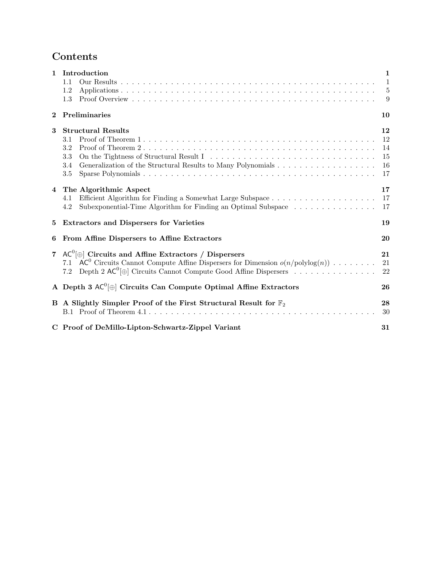# Contents

| 1              | Introduction<br>1.1<br>1.2<br>1.3                                                                                                                                                                                                        | 1<br>$\mathbf{1}$<br>5<br>9      |
|----------------|------------------------------------------------------------------------------------------------------------------------------------------------------------------------------------------------------------------------------------------|----------------------------------|
| $\mathbf 2$    | Preliminaries                                                                                                                                                                                                                            | 10                               |
| 3              | <b>Structural Results</b><br>3.1<br>3.2<br>3.3<br>3.4<br>3.5                                                                                                                                                                             | 12<br>12<br>14<br>15<br>16<br>17 |
|                | 4 The Algorithmic Aspect<br>4.1<br>Subexponential-Time Algorithm for Finding an Optimal Subspace $\dots \dots \dots \dots \dots$<br>4.2                                                                                                  | 17<br>17<br>17                   |
| 5              | <b>Extractors and Dispersers for Varieties</b>                                                                                                                                                                                           | 19                               |
| 6              | From Affine Dispersers to Affine Extractors                                                                                                                                                                                              | 20                               |
| $\overline{7}$ | $AC^{0}[\oplus]$ Circuits and Affine Extractors / Dispersers<br>$AC^0$ Circuits Cannot Compute Affine Dispersers for Dimension $o(n/polylog(n))$<br>7.1<br>Depth 2 $AC^0$ $\oplus$ Circuits Cannot Compute Good Affine Dispersers<br>7.2 | 21<br>21<br>22                   |
|                | A Depth 3 $AC^0[\oplus]$ Circuits Can Compute Optimal Affine Extractors                                                                                                                                                                  | 26                               |
|                | B A Slightly Simpler Proof of the First Structural Result for $\mathbb{F}_2$                                                                                                                                                             | 28<br>30                         |
|                | C Proof of DeMillo-Lipton-Schwartz-Zippel Variant                                                                                                                                                                                        | 31                               |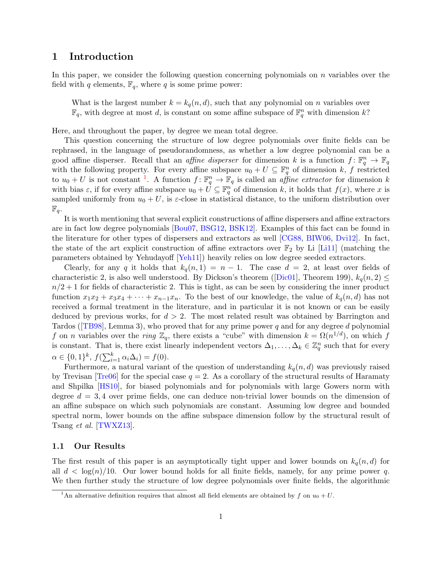## <span id="page-2-0"></span>1 Introduction

In this paper, we consider the following question concerning polynomials on  $n$  variables over the field with q elements,  $\mathbb{F}_q$ , where q is some prime power:

What is the largest number  $k = k_q(n, d)$ , such that any polynomial on n variables over  $\mathbb{F}_q$ , with degree at most d, is constant on some affine subspace of  $\mathbb{F}_q^n$  with dimension k?

Here, and throughout the paper, by degree we mean total degree.

This question concerning the structure of low degree polynomials over finite fields can be rephrased, in the language of pseudorandomness, as whether a low degree polynomial can be a good affine disperser. Recall that an *affine disperser* for dimension k is a function  $f: \mathbb{F}_q^n \to \mathbb{F}_q$ with the following property. For every affine subspace  $u_0 + U \subseteq \mathbb{F}_q^n$  of dimension k, f restricted to  $u_0 + U$  is not constant <sup>[1](#page-2-2)</sup>. A function  $f: \mathbb{F}_q^n \to \mathbb{F}_q$  is called an *affine extractor* for dimension k with bias  $\varepsilon$ , if for every affine subspace  $u_0 + U \subseteq \mathbb{F}_q^n$  of dimension k, it holds that  $f(x)$ , where x is sampled uniformly from  $u_0 + U$ , is  $\varepsilon$ -close in statistical distance, to the uniform distribution over  $\mathbb{F}_q$ .

It is worth mentioning that several explicit constructions of affine dispersers and affine extractors are in fact low degree polynomials [\[Bou07,](#page-24-0) [BSG12,](#page-25-0) [BSK12\]](#page-25-1). Examples of this fact can be found in the literature for other types of dispersers and extractors as well [\[CG88,](#page-25-2) [BIW06,](#page-24-1) [Dvi12\]](#page-25-3). In fact, the state of the art explicit construction of affine extractors over  $\mathbb{F}_2$  by Li [\[Li11\]](#page-26-0) (matching the parameters obtained by Yehudayoff [\[Yeh11\]](#page-26-1)) heavily relies on low degree seeded extractors.

Clearly, for any q it holds that  $k_q(n, 1) = n - 1$ . The case  $d = 2$ , at least over fields of characteristic 2, is also well understood. By Dickson's theorem ([\[Dic01\]](#page-25-4), Theorem 199),  $k_q(n, 2) \leq$  $n/2+1$  for fields of characteristic 2. This is tight, as can be seen by considering the inner product function  $x_1x_2 + x_3x_4 + \cdots + x_{n-1}x_n$ . To the best of our knowledge, the value of  $k_q(n,d)$  has not received a formal treatment in the literature, and in particular it is not known or can be easily deduced by previous works, for  $d > 2$ . The most related result was obtained by Barrington and Tardos ( $[TB98]$ , Lemma 3), who proved that for any prime power q and for any degree d polynomial f on n variables over the ring  $\mathbb{Z}_q$ , there exists a "cube" with dimension  $k = \Omega(n^{1/d})$ , on which f is constant. That is, there exist linearly independent vectors  $\Delta_1, \ldots, \Delta_k \in \mathbb{Z}_q^n$  such that for every  $\alpha \in \{0,1\}^k$ ,  $f(\sum_{i=1}^k \alpha_i \Delta_i) = f(0)$ .

Furthermore, a natural variant of the question of understanding  $k_q(n, d)$  was previously raised by Trevisan  $[Tree6]$  for the special case  $q = 2$ . As a corollary of the structural results of Haramaty and Shpilka [\[HS10\]](#page-25-5), for biased polynomials and for polynomials with large Gowers norm with degree  $d = 3, 4$  over prime fields, one can deduce non-trivial lower bounds on the dimension of an affine subspace on which such polynomials are constant. Assuming low degree and bounded spectral norm, lower bounds on the affine subspace dimension follow by the structural result of Tsang et al. [\[TWXZ13\]](#page-26-4).

## <span id="page-2-1"></span>1.1 Our Results

The first result of this paper is an asymptotically tight upper and lower bounds on  $k_q(n, d)$  for all  $d < \log(n)/10$ . Our lower bound holds for all finite fields, namely, for any prime power q. We then further study the structure of low degree polynomials over finite fields, the algorithmic

<span id="page-2-2"></span><sup>&</sup>lt;sup>1</sup>An alternative definition requires that almost all field elements are obtained by f on  $u_0 + U$ .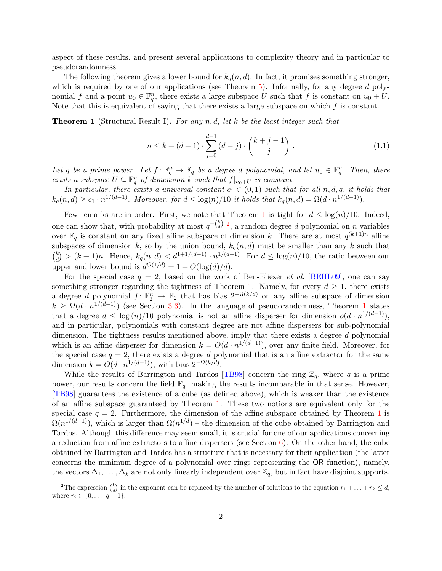aspect of these results, and present several applications to complexity theory and in particular to pseudorandomness.

The following theorem gives a lower bound for  $k_q(n, d)$ . In fact, it promises something stronger, which is required by one of our applications (see Theorem  $5$ ). Informally, for any degree  $d$  polynomial f and a point  $u_0 \in \mathbb{F}_q^n$ , there exists a large subspace U such that f is constant on  $u_0 + U$ . Note that this is equivalent of saying that there exists a large subspace on which  $f$  is constant.

<span id="page-3-0"></span>**Theorem 1** (Structural Result I). For any n, d, let k be the least integer such that

<span id="page-3-2"></span>
$$
n \le k + (d+1) \cdot \sum_{j=0}^{d-1} (d-j) \cdot \binom{k+j-1}{j} \,. \tag{1.1}
$$

Let q be a prime power. Let  $f: \mathbb{F}_q^n \to \mathbb{F}_q$  be a degree d polynomial, and let  $u_0 \in \mathbb{F}_q^n$ . Then, there exists a subspace  $U \subseteq \mathbb{F}_q^n$  of dimension k such that  $f|_{u_0+U}$  is constant.

In particular, there exists a universal constant  $c_1 \in (0,1)$  such that for all  $n, d, q$ , it holds that  $k_q(n,d) \geq c_1 \cdot n^{1/(d-1)}$ . Moreover, for  $d \leq \log(n)/10$  it holds that  $k_q(n,d) = \Omega(d \cdot n^{1/(d-1)})$ .

Few remarks are in order. First, we note that Theorem [1](#page-3-0) is tight for  $d \leq \log(n)/10$ . Indeed, one can show that, with probability at most  $q^{-\binom{k}{d}}$ , a random degree d polynomial on n variables over  $\mathbb{F}_q$  is constant on any fixed affine subspace of dimension k. There are at most  $q^{(k+1)n}$  affine subspaces of dimension k, so by the union bound,  $k_q(n, d)$  must be smaller than any k such that  $\binom{k}{d}$  $\binom{k}{d}$  >  $(k+1)n$ . Hence,  $k_q(n,d)$  <  $d^{1+1/(d-1)} \cdot n^{1/(d-1)}$ . For  $d \leq \log(n)/10$ , the ratio between our upper and lower bound is  $d^{O(1/d)} = 1 + O(\log(d)/d)$ .

For the special case  $q = 2$ , based on the work of Ben-Eliezer *et al.* [\[BEHL09\]](#page-24-2), one can say something stronger regarding the tightness of Theorem [1.](#page-3-0) Namely, for every  $d \geq 1$ , there exists a degree d polynomial  $f: \mathbb{F}_2^n \to \mathbb{F}_2$  that has bias  $2^{-\Omega(k/d)}$  on any affine subspace of dimension  $k \geq \Omega(d \cdot n^{1/(d-1)})$  $k \geq \Omega(d \cdot n^{1/(d-1)})$  $k \geq \Omega(d \cdot n^{1/(d-1)})$  (see Section [3.3\)](#page-16-0). In the language of pseudorandomness, Theorem 1 states that a degree  $d \leq \log(n)/10$  polynomial is not an affine disperser for dimension  $o(d \cdot n^{1/(d-1)})$ , and in particular, polynomials with constant degree are not affine dispersers for sub-polynomial dimension. The tightness results mentioned above, imply that there exists a degree d polynomial which is an affine disperser for dimension  $k = O(d \cdot n^{1/(d-1)})$ , over any finite field. Moreover, for the special case  $q = 2$ , there exists a degree d polynomial that is an affine extractor for the same dimension  $k = O(d \cdot n^{1/(d-1)})$ , with bias  $2^{-\Omega(k/d)}$ .

While the results of Barrington and Tardos [\[TB98\]](#page-26-2) concern the ring  $\mathbb{Z}_q$ , where q is a prime power, our results concern the field  $\mathbb{F}_q$ , making the results incomparable in that sense. However, [\[TB98\]](#page-26-2) guarantees the existence of a cube (as defined above), which is weaker than the existence of an affine subspace guaranteed by Theorem [1.](#page-3-0) These two notions are equivalent only for the special case  $q = 2$ . Furthermore, the dimension of the affine subspace obtained by Theorem [1](#page-3-0) is  $\Omega(n^{1/(d-1)})$ , which is larger than  $\Omega(n^{1/d})$  – the dimension of the cube obtained by Barrington and Tardos. Although this difference may seem small, it is crucial for one of our applications concerning a reduction from affine extractors to affine dispersers (see Section  $6$ ). On the other hand, the cube obtained by Barrington and Tardos has a structure that is necessary for their application (the latter concerns the minimum degree of a polynomial over rings representing the OR function), namely, the vectors  $\Delta_1, \ldots, \Delta_k$  are not only linearly independent over  $\mathbb{Z}_q$ , but in fact have disjoint supports.

<span id="page-3-1"></span><sup>&</sup>lt;sup>2</sup>The expression  $\binom{k}{d}$  in the exponent can be replaced by the number of solutions to the equation  $r_1 + \ldots + r_k \leq d$ , where  $r_i \in \{0, ..., q - 1\}$ .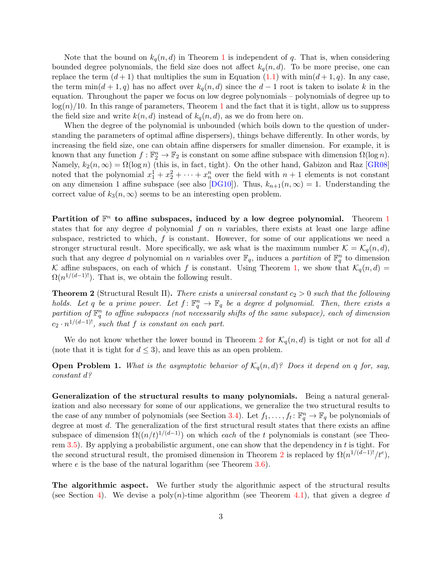Note that the bound on  $k_q(n, d)$  in Theorem [1](#page-3-0) is independent of q. That is, when considering bounded degree polynomials, the field size does not affect  $k_q(n, d)$ . To be more precise, one can replace the term  $(d+1)$  that multiplies the sum in Equation [\(1.1\)](#page-3-2) with  $\min(d+1, q)$ . In any case, the term  $min(d + 1, q)$  has no affect over  $k_q(n, d)$  since the  $d - 1$  root is taken to isolate k in the equation. Throughout the paper we focus on low degree polynomials – polynomials of degree up to  $log(n)/10$  $log(n)/10$  $log(n)/10$ . In this range of parameters, Theorem 1 and the fact that it is tight, allow us to suppress the field size and write  $k(n, d)$  instead of  $k_q(n, d)$ , as we do from here on.

When the degree of the polynomial is unbounded (which boils down to the question of understanding the parameters of optimal affine dispersers), things behave differently. In other words, by increasing the field size, one can obtain affine dispersers for smaller dimension. For example, it is known that any function  $f : \mathbb{F}_2^n \to \mathbb{F}_2$  is constant on some affine subspace with dimension  $\Omega(\log n)$ . Namely,  $k_2(n,\infty) = \Omega(\log n)$  (this is, in fact, tight). On the other hand, Gabizon and Raz [\[GR08\]](#page-25-6) noted that the polynomial  $x_1^1 + x_2^2 + \cdots + x_n^n$  over the field with  $n + 1$  elements is not constant on any dimension 1 affine subspace (see also [\[DG10\]](#page-25-7)). Thus,  $k_{n+1}(n,\infty) = 1$ . Understanding the correct value of  $k_3(n,\infty)$  seems to be an interesting open problem.

Partition of  $\mathbb{F}^n$  to affine subspaces, induced by a low degree polynomial. Theorem [1](#page-3-0) states that for any degree d polynomial  $f$  on  $n$  variables, there exists at least one large affine subspace, restricted to which, f is constant. However, for some of our applications we need a stronger structural result. More specifically, we ask what is the maximum number  $\mathcal{K} = \mathcal{K}_q(n, d)$ , such that any degree d polynomial on n variables over  $\mathbb{F}_q$ , induces a partition of  $\mathbb{F}_q^n$  to dimension K affine subspaces, on each of which f is constant. Using Theorem [1,](#page-3-0) we show that  $\mathcal{K}_q(n, d) =$  $\Omega(n^{1/(d-1)!})$ . That is, we obtain the following result.

<span id="page-4-0"></span>**Theorem 2** (Structural Result II). There exists a universal constant  $c_2 > 0$  such that the following holds. Let q be a prime power. Let  $f: \mathbb{F}_q^n \to \mathbb{F}_q$  be a degree d polynomial. Then, there exists a partition of  $\mathbb{F}_q^n$  to affine subspaces (not necessarily shifts of the same subspace), each of dimension  $c_2 \cdot n^{1/(d-1)!}$ , such that f is constant on each part.

We do not know whether the lower bound in Theorem [2](#page-4-0) for  $\mathcal{K}_q(n, d)$  is tight or not for all d (note that it is tight for  $d \leq 3$ ), and leave this as an open problem.

**Open Problem 1.** What is the asymptotic behavior of  $\mathcal{K}_q(n,d)$ ? Does it depend on q for, say, constant d?

Generalization of the structural results to many polynomials. Being a natural generalization and also necessary for some of our applications, we generalize the two structural results to the case of any number of polynomials (see Section [3.4\)](#page-17-0). Let  $f_1, \ldots, f_t \colon \mathbb{F}_q^n \to \mathbb{F}_q$  be polynomials of degree at most d. The generalization of the first structural result states that there exists an affine subspace of dimension  $\Omega((n/t)^{1/(d-1)})$  on which each of the t polynomials is constant (see Theo-rem [3.5\)](#page-17-1). By applying a probabilistic argument, one can show that the dependency in  $t$  is tight. For the second structural result, the promised dimension in Theorem [2](#page-4-0) is replaced by  $\Omega(n^{1/(d-1)!)}/t^e$ , where  $e$  is the base of the natural logarithm (see Theorem  $3.6$ ).

The algorithmic aspect. We further study the algorithmic aspect of the structural results (see Section [4\)](#page-18-1). We devise a poly $(n)$ -time algorithm (see Theorem [4.1\)](#page-18-4), that given a degree d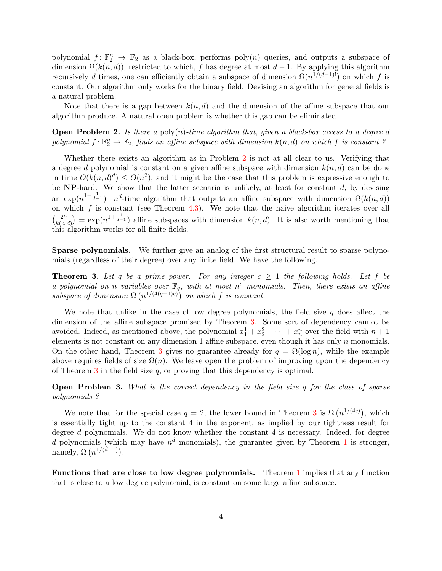polynomial  $f: \mathbb{F}_2^n \to \mathbb{F}_2$  as a black-box, performs  $poly(n)$  queries, and outputs a subspace of dimension  $\Omega(k(n,d))$ , restricted to which, f has degree at most  $d-1$ . By applying this algorithm recursively d times, one can efficiently obtain a subspace of dimension  $\Omega(n^{1/(d-1)!})$  on which f is constant. Our algorithm only works for the binary field. Devising an algorithm for general fields is a natural problem.

Note that there is a gap between  $k(n, d)$  and the dimension of the affine subspace that our algorithm produce. A natural open problem is whether this gap can be eliminated.

<span id="page-5-0"></span>**Open Problem 2.** Is there a poly $(n)$ -time algorithm that, given a black-box access to a degree d polynomial  $f: \mathbb{F}_2^n \to \mathbb{F}_2$ , finds an affine subspace with dimension  $k(n,d)$  on which f is constant?

Whether there exists an algorithm as in Problem [2](#page-5-0) is not at all clear to us. Verifying that a degree d polynomial is constant on a given affine subspace with dimension  $k(n, d)$  can be done in time  $O(k(n,d)^d) \leq O(n^2)$ , and it might be the case that this problem is expressive enough to be  $NP$ -hard. We show that the latter scenario is unlikely, at least for constant  $d$ , by devising an exp( $n^{1-\frac{1}{d-1}}$ ) ·  $n^d$ -time algorithm that outputs an affine subspace with dimension  $\Omega(k(n,d))$ on which  $f$  is constant (see Theorem [4.3\)](#page-18-5). We note that the naive algorithm iterates over all  $\binom{2^n}{k}$  $k(n,d)$  = exp( $n^{1+\frac{1}{d-1}}$ ) affine subspaces with dimension  $k(n,d)$ . It is also worth mentioning that this algorithm works for all finite fields.

Sparse polynomials. We further give an analog of the first structural result to sparse polynomials (regardless of their degree) over any finite field. We have the following.

<span id="page-5-1"></span>**Theorem 3.** Let q be a prime power. For any integer  $c \ge 1$  the following holds. Let f be a polynomial on n variables over  $\mathbb{F}_q$ , with at most n<sup>c</sup> monomials. Then, there exists an affine subspace of dimension  $\Omega(n^{1/(4(q-1)c)})$  on which f is constant.

We note that unlike in the case of low degree polynomials, the field size  $q$  does affect the dimension of the affine subspace promised by Theorem [3.](#page-5-1) Some sort of dependency cannot be avoided. Indeed, as mentioned above, the polynomial  $x_1^1 + x_2^2 + \cdots + x_n^n$  over the field with  $n+1$ elements is not constant on any dimension 1 affine subspace, even though it has only  $n$  monomials. On the other hand, Theorem [3](#page-5-1) gives no guarantee already for  $q = \Omega(\log n)$ , while the example above requires fields of size  $\Omega(n)$ . We leave open the problem of improving upon the dependency of Theorem  $3$  in the field size  $q$ , or proving that this dependency is optimal.

Open Problem 3. What is the correct dependency in the field size q for the class of sparse polynomials ?

We note that for the special case  $q = 2$ , the lower bound in Theorem [3](#page-5-1) is  $\Omega(n^{1/(4c)})$ , which is essentially tight up to the constant 4 in the exponent, as implied by our tightness result for degree d polynomials. We do not know whether the constant 4 is necessary. Indeed, for degree d polynomials (which may have  $n^d$  monomials), the guarantee given by Theorem [1](#page-3-0) is stronger, namely,  $\Omega(n^{1/(d-1)})$ .

Functions that are close to low degree polynomials. Theorem [1](#page-3-0) implies that any function that is close to a low degree polynomial, is constant on some large affine subspace.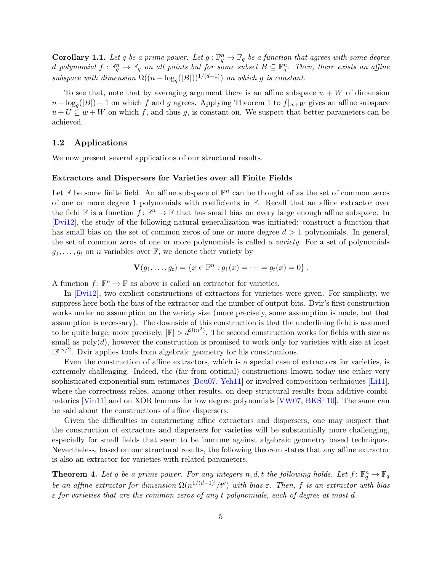**Corollary 1.1.** Let q be a prime power. Let  $g : \mathbb{F}_q^n \to \mathbb{F}_q$  be a function that agrees with some degree d polynomial  $f: \mathbb{F}_q^n \to \mathbb{F}_q$  on all points but for some subset  $B \subseteq \mathbb{F}_q^n$ . Then, there exists an affine subspace with dimension  $\Omega((n - \log_q(|B|))^{1/(d-1)})$  on which g is constant.

To see that, note that by averaging argument there is an affine subspace  $w + W$  of dimension  $n - \log_q(|B|) - 1$  $n - \log_q(|B|) - 1$  on which f and g agrees. Applying Theorem 1 to  $f|_{w+W}$  gives an affine subspace  $u + U \subseteq w + W$  on which f, and thus g, is constant on. We suspect that better parameters can be achieved.

### <span id="page-6-0"></span>1.2 Applications

We now present several applications of our structural results.

### Extractors and Dispersers for Varieties over all Finite Fields

Let  $\mathbb F$  be some finite field. An affine subspace of  $\mathbb F^n$  can be thought of as the set of common zeros of one or more degree 1 polynomials with coefficients in F. Recall that an affine extractor over the field  $\mathbb F$  is a function  $f: \mathbb F^n \to \mathbb F$  that has small bias on every large enough affine subspace. In [\[Dvi12\]](#page-25-3), the study of the following natural generalization was initiated: construct a function that has small bias on the set of common zeros of one or more degree  $d > 1$  polynomials. In general, the set of common zeros of one or more polynomials is called a variety. For a set of polynomials  $g_1, \ldots, g_t$  on *n* variables over  $\mathbb{F}$ , we denote their variety by

$$
\mathbf{V}(g_1,\ldots,g_t) = \{x \in \mathbb{F}^n : g_1(x) = \cdots = g_t(x) = 0\}.
$$

A function  $f: \mathbb{F}^n \to \mathbb{F}$  as above is called an extractor for varieties.

In [\[Dvi12\]](#page-25-3), two explicit constructions of extractors for varieties were given. For simplicity, we suppress here both the bias of the extractor and the number of output bits. Dvir's first construction works under no assumption on the variety size (more precisely, some assumption is made, but that assumption is necessary). The downside of this construction is that the underlining field is assumed to be quite large, more precisely,  $|\mathbb{F}| > d^{\Omega(n^2)}$ . The second construction works for fields with size as small as  $poly(d)$ , however the construction is promised to work only for varieties with size at least  $|\mathbb{F}|^{n/2}$ . Dvir applies tools from algebraic geometry for his constructions.

Even the construction of affine extractors, which is a special case of extractors for varieties, is extremely challenging. Indeed, the (far from optimal) constructions known today use either very sophisticated exponential sum estimates [\[Bou07,](#page-24-0) [Yeh11\]](#page-26-1) or involved composition techniques [\[Li11\]](#page-26-0), where the correctness relies, among other results, on deep structural results from additive combi-natorics [\[Vin11\]](#page-26-5) and on XOR lemmas for low degree polynomials [\[VW07,](#page-26-6) [BKS](#page-24-3)+10]. The same can be said about the constructions of affine dispersers.

Given the difficulties in constructing affine extractors and dispersers, one may suspect that the construction of extractors and dispersers for varieties will be substantially more challenging, especially for small fields that seem to be immune against algebraic geometry based techniques. Nevertheless, based on our structural results, the following theorem states that any affine extractor is also an extractor for varieties with related parameters.

<span id="page-6-1"></span>**Theorem 4.** Let q be a prime power. For any integers n, d, t the following holds. Let  $f: \mathbb{F}_q^n \to \mathbb{F}_q$ be an affine extractor for dimension  $\Omega(n^{1/(d-1)!)}/t^e$  with bias  $\varepsilon$ . Then, f is an extractor with bias  $\varepsilon$  for varieties that are the common zeros of any t polynomials, each of degree at most d.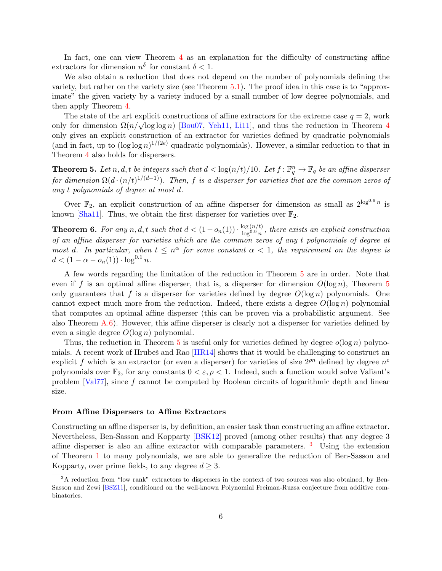In fact, one can view Theorem [4](#page-6-1) as an explanation for the difficulty of constructing affine extractors for dimension  $n^{\delta}$  for constant  $\delta < 1$ .

We also obtain a reduction that does not depend on the number of polynomials defining the variety, but rather on the variety size (see Theorem [5.1\)](#page-20-1). The proof idea in this case is to "approximate" the given variety by a variety induced by a small number of low degree polynomials, and then apply Theorem [4.](#page-6-1)

The state of the art explicit constructions of affine extractors for the extreme case  $q = 2$ , work only for dimension  $\Omega(n/\sqrt{\log \log n})$  [\[Bou07,](#page-24-0) [Yeh11,](#page-26-1) [Li11\]](#page-26-0), and thus the reduction in Theorem [4](#page-6-1) only gives an explicit construction of an extractor for varieties defined by quadratic polynomials (and in fact, up to  $(\log \log n)^{1/(2e)}$  quadratic polynomials). However, a similar reduction to that in Theorem [4](#page-6-1) also holds for dispersers.

<span id="page-7-0"></span>**Theorem 5.** Let n, d, t be integers such that  $d < \log(n/t)/10$ . Let  $f: \mathbb{F}_q^n \to \mathbb{F}_q$  be an affine disperser for dimension  $\Omega(d \cdot (n/t)^{1/(d-1)})$ . Then, f is a disperser for varieties that are the common zeros of any t polynomials of degree at most d.

Over  $\mathbb{F}_2$ , an explicit construction of an affine disperser for dimension as small as  $2^{\log^{0.9} n}$  is known [\[Sha11\]](#page-26-7). Thus, we obtain the first disperser for varieties over  $\mathbb{F}_2$ .

**Theorem 6.** For any n, d, t such that  $d < (1 - o_n(1)) \cdot \frac{\log(n/t)}{\log^{0.9} n}$  $\frac{\log(n/t)}{\log^{0.9} n}$ , there exists an explicit construction of an affine disperser for varieties which are the common zeros of any t polynomials of degree at most d. In particular, when  $t \leq n^{\alpha}$  for some constant  $\alpha < 1$ , the requirement on the degree is  $d < (1 - \alpha - o_n(1)) \cdot \log^{0.1} n$ .

A few words regarding the limitation of the reduction in Theorem [5](#page-7-0) are in order. Note that even if f is an optimal affine disperser, that is, a disperser for dimension  $O(\log n)$ , Theorem [5](#page-7-0) only guarantees that f is a disperser for varieties defined by degree  $O(\log n)$  polynomials. One cannot expect much more from the reduction. Indeed, there exists a degree  $O(\log n)$  polynomial that computes an optimal affine disperser (this can be proven via a probabilistic argument. See also Theorem [A.6\)](#page-28-0). However, this affine disperser is clearly not a disperser for varieties defined by even a single degree  $O(\log n)$  polynomial.

Thus, the reduction in Theorem [5](#page-7-0) is useful only for varieties defined by degree  $o(\log n)$  polynomials. A recent work of Hrubeš and Rao  $[HR14]$  shows that it would be challenging to construct an explicit f which is an extractor (or even a disperser) for varieties of size  $2^{\rho n}$  defined by degree  $n^{\varepsilon}$ polynomials over  $\mathbb{F}_2$ , for any constants  $0 < \varepsilon, \rho < 1$ . Indeed, such a function would solve Valiant's problem [\[Val77\]](#page-26-8), since f cannot be computed by Boolean circuits of logarithmic depth and linear size.

#### From Affine Dispersers to Affine Extractors

Constructing an affine disperser is, by definition, an easier task than constructing an affine extractor. Nevertheless, Ben-Sasson and Kopparty [\[BSK12\]](#page-25-1) proved (among other results) that any degree 3 affine disperser is also an affine extractor with comparable parameters. [3](#page-7-1) Using the extension of Theorem [1](#page-3-0) to many polynomials, we are able to generalize the reduction of Ben-Sasson and Kopparty, over prime fields, to any degree  $d \geq 3$ .

<span id="page-7-2"></span><span id="page-7-1"></span><sup>&</sup>lt;sup>3</sup>A reduction from "low rank" extractors to dispersers in the context of two sources was also obtained, by Ben-Sasson and Zewi [\[BSZ11\]](#page-25-9), conditioned on the well-known Polynomial Freiman-Ruzsa conjecture from additive combinatorics.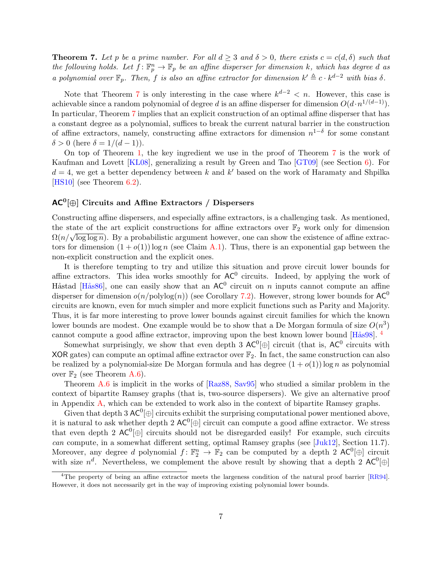**Theorem 7.** Let p be a prime number. For all  $d \geq 3$  and  $\delta > 0$ , there exists  $c = c(d, \delta)$  such that the following holds. Let  $f: \mathbb{F}_p^n \to \mathbb{F}_p$  be an affine disperser for dimension k, which has degree d as a polynomial over  $\mathbb{F}_p$ . Then, f is also an affine extractor for dimension  $k' \triangleq c \cdot k^{d-2}$  with bias  $\delta$ .

Note that Theorem [7](#page-7-2) is only interesting in the case where  $k^{d-2} < n$ . However, this case is achievable since a random polynomial of degree d is an affine disperser for dimension  $O(d \cdot n^{1/(d-1)})$ . In particular, Theorem [7](#page-7-2) implies that an explicit construction of an optimal affine disperser that has a constant degree as a polynomial, suffices to break the current natural barrier in the construction of affine extractors, namely, constructing affine extractors for dimension  $n^{1-\delta}$  for some constant  $\delta > 0$  (here  $\delta = 1/(d-1)$ ).

On top of Theorem [1,](#page-3-0) the key ingredient we use in the proof of Theorem [7](#page-7-2) is the work of Kaufman and Lovett [\[KL08\]](#page-25-10), generalizing a result by Green and Tao [\[GT09\]](#page-25-11) (see Section [6\)](#page-21-0). For  $d = 4$ , we get a better dependency between k and k' based on the work of Haramaty and Shpilka [\[HS10\]](#page-25-5) (see Theorem [6.2\)](#page-21-1).

## $\mathsf{AC}^0[\oplus]$  Circuits and Affine Extractors / Dispersers

Constructing affine dispersers, and especially affine extractors, is a challenging task. As mentioned, the state of the art explicit constructions for affine extractors over  $\mathbb{F}_2$  work only for dimension  $\Omega(n/\sqrt{\log\log n})$ . By a probabilistic argument however, one can show the existence of affine extractors for dimension  $(1 + o(1)) \log n$  (see Claim [A.1\)](#page-27-1). Thus, there is an exponential gap between the non-explicit construction and the explicit ones.

It is therefore tempting to try and utilize this situation and prove circuit lower bounds for affine extractors. This idea works smoothly for  $AC^0$  circuits. Indeed, by applying the work of Håstad [Hås86], one can easily show that an  $AC^0$  circuit on n inputs cannot compute an affine disperser for dimension  $o(n/\text{polylog}(n))$  (see Corollary [7.2\)](#page-23-1). However, strong lower bounds for  $AC^0$ circuits are known, even for much simpler and more explicit functions such as Parity and Majority. Thus, it is far more interesting to prove lower bounds against circuit families for which the known lower bounds are modest. One example would be to show that a De Morgan formula of size  $O(n^3)$ cannot compute a good affine extractor, improving upon the best known lower bound  $[Hås98]$ <sup>[4](#page-8-0)</sup>

Somewhat surprisingly, we show that even depth 3  $AC^0[\oplus]$  circuit (that is,  $AC^0$  circuits with XOR gates) can compute an optimal affine extractor over  $\mathbb{F}_2$ . In fact, the same construction can also be realized by a polynomial-size De Morgan formula and has degree  $(1 + o(1)) \log n$  as polynomial over  $\mathbb{F}_2$  (see Theorem [A.6\)](#page-28-0).

Theorem [A.6](#page-28-0) is implicit in the works of [\[Raz88,](#page-26-9) [Sav95\]](#page-26-10) who studied a similar problem in the context of bipartite Ramsey graphs (that is, two-source dispersers). We give an alternative proof in Appendix [A,](#page-27-0) which can be extended to work also in the context of bipartite Ramsey graphs.

Given that depth 3  $AC^0[\oplus]$  circuits exhibit the surprising computational power mentioned above, it is natural to ask whether depth 2  $AC^0[\oplus]$  circuit can compute a good affine extractor. We stress that even depth 2  $AC^0[\oplus]$  circuits should not be disregarded easily! For example, such circuits can compute, in a somewhat different setting, optimal Ramsey graphs (see [\[Juk12\]](#page-25-14), Section 11.7). Moreover, any degree d polynomial  $f: \mathbb{F}_2^n \to \mathbb{F}_2$  can be computed by a depth 2 AC<sup>0</sup> $[\oplus]$  circuit with size  $n^d$ . Nevertheless, we complement the above result by showing that a depth 2 AC<sup>0</sup> $[\oplus]$ 

<span id="page-8-0"></span><sup>&</sup>lt;sup>4</sup>The property of being an affine extractor meets the largeness condition of the natural proof barrier  $[RR94]$ . However, it does not necessarily get in the way of improving existing polynomial lower bounds.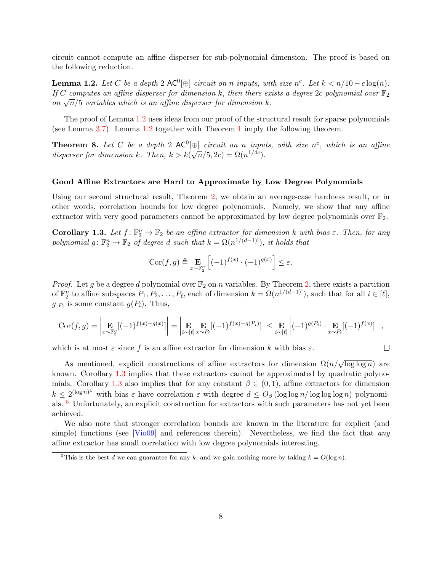circuit cannot compute an affine disperser for sub-polynomial dimension. The proof is based on the following reduction.

<span id="page-9-0"></span>**Lemma 1.2.** Let C be a depth 2  $AC^0[\oplus]$  circuit on n inputs, with size  $n^c$ . Let  $k < n/10 - c \log(n)$ . If C computes an affine disperser for dimension k, then there exists a degree 2c polynomial over  $\mathbb{F}_2$  $n_j$  compares an affine asperser for annersion  $\kappa$ , then there exists on  $\sqrt{n}/5$  variables which is an affine disperser for dimension  $k$ .

The proof of Lemma [1.2](#page-9-0) uses ideas from our proof of the structural result for sparse polynomials (see Lemma [3.7\)](#page-18-6). Lemma [1.2](#page-9-0) together with Theorem [1](#page-3-0) imply the following theorem.

<span id="page-9-3"></span>**Theorem 8.** Let C be a depth 2  $AC^0(\oplus)$  circuit on n inputs, with size n<sup>c</sup>, which is an affine disperser for dimension k. Then,  $k > k(\sqrt{n}/5, 2c) = \Omega(n^{1/4c})$ .

#### Good Affine Extractors are Hard to Approximate by Low Degree Polynomials

Using our second structural result, Theorem [2,](#page-4-0) we obtain an average-case hardness result, or in other words, correlation bounds for low degree polynomials. Namely, we show that any affine extractor with very good parameters cannot be approximated by low degree polynomials over  $\mathbb{F}_2$ .

<span id="page-9-1"></span>**Corollary 1.3.** Let  $f: \mathbb{F}_2^n \to \mathbb{F}_2$  be an affine extractor for dimension k with bias  $\varepsilon$ . Then, for any polynomial  $g: \mathbb{F}_2^n \to \mathbb{F}_2$  of degree d such that  $k = \Omega(n^{1/(d-1)!})$ , it holds that

$$
Cor(f,g) \triangleq \mathop{\mathbf{E}}_{x \sim \mathbb{F}_2^n} \left[ (-1)^{f(x)} \cdot (-1)^{g(x)} \right] \le \varepsilon.
$$

*Proof.* Let g be a degree d polynomial over  $\mathbb{F}_2$  on n variables. By Theorem [2,](#page-4-0) there exists a partition of  $\mathbb{F}_2^n$  to affine subspaces  $P_1, P_2, \ldots, P_\ell$ , each of dimension  $k = \Omega(n^{1/(d-1)!})$ , such that for all  $i \in [\ell]$ ,  $g|_{P_i}$  is some constant  $g(P_i)$ . Thus,

$$
Cor(f,g) = \left| \mathop{\mathbf{E}}_{x \sim \mathbb{F}_2^n} [(-1)^{f(x) + g(x)}] \right| = \left| \mathop{\mathbf{E}}_{i \sim [\ell]} \mathop{\mathbf{E}}_{x \sim P_i} [(-1)^{f(x) + g(P_i)}] \right| \leq \mathop{\mathbf{E}}_{i \sim [\ell]} \left| (-1)^{g(P_i)} \cdot \mathop{\mathbf{E}}_{x \sim P_i} [(-1)^{f(x)}] \right|,
$$

which is at most  $\varepsilon$  since f is an affine extractor for dimension k with bias  $\varepsilon$ .

 $\Box$ 

As mentioned, explicit constructions of affine extractors for dimension  $\Omega(n/\sqrt{\log \log n})$  are known. Corollary [1.3](#page-9-1) implies that these extractors cannot be approximated by quadratic polyno-mials. Corollary [1.3](#page-9-1) also implies that for any constant  $\beta \in (0,1)$ , affine extractors for dimension  $k \leq 2^{(\log n)^{\beta}}$  with bias  $\varepsilon$  have correlation  $\varepsilon$  with degree  $d \leq O_{\beta}$  (log log n/ log log n) polynomials. [5](#page-9-2) Unfortunately, an explicit construction for extractors with such parameters has not yet been achieved.

We also note that stronger correlation bounds are known in the literature for explicit (and simple) functions (see  $[\text{Vi}o09]$  and references therein). Nevertheless, we find the fact that any affine extractor has small correlation with low degree polynomials interesting.

<span id="page-9-2"></span><sup>&</sup>lt;sup>5</sup>This is the best d we can guarantee for any k, and we gain nothing more by taking  $k = O(\log n)$ .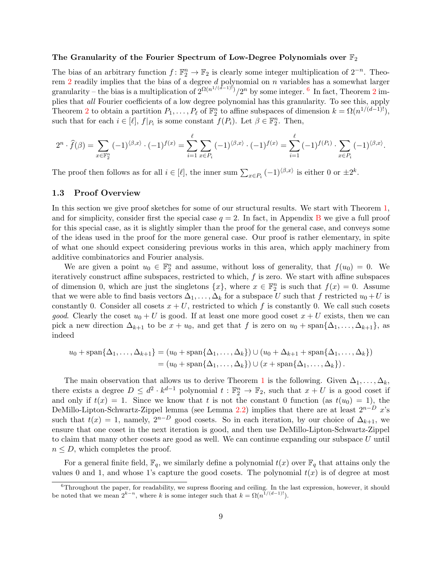#### The Granularity of the Fourier Spectrum of Low-Degree Polynomials over  $\mathbb{F}_2$

The bias of an arbitrary function  $f: \mathbb{F}_2^n \to \mathbb{F}_2$  is clearly some integer multiplication of  $2^{-n}$ . Theo-rem [2](#page-4-0) readily implies that the bias of a degree  $d$  polynomial on  $n$  variables has a somewhat larger granularity – the bias is a multiplication of  $2^{\Omega(n^{1/(d-1)!)}}/2^n$  $2^{\Omega(n^{1/(d-1)!)}}/2^n$  by some integer. <sup>[6](#page-10-1)</sup> In fact, Theorem 2 implies that all Fourier coefficients of a low degree polynomial has this granularity. To see this, apply Theorem [2](#page-4-0) to obtain a partition  $P_1, \ldots, P_\ell$  of  $\mathbb{F}_2^n$  to affine subspaces of dimension  $k = \Omega(n^{1/(d-1)!})$ , such that for each  $i \in [\ell], f|_{P_i}$  is some constant  $f(P_i)$ . Let  $\beta \in \mathbb{F}_2^n$ . Then,

$$
2^{n} \cdot \widehat{f}(\beta) = \sum_{x \in \mathbb{F}_{2}^{n}} (-1)^{\langle \beta, x \rangle} \cdot (-1)^{f(x)} = \sum_{i=1}^{\ell} \sum_{x \in P_{i}} (-1)^{\langle \beta, x \rangle} \cdot (-1)^{f(x)} = \sum_{i=1}^{\ell} (-1)^{f(P_{i})} \cdot \sum_{x \in P_{i}} (-1)^{\langle \beta, x \rangle}.
$$

The proof then follows as for all  $i \in [\ell]$ , the inner sum  $\sum_{x \in P_i} (-1)^{\langle \beta, x \rangle}$  is either 0 or  $\pm 2^k$ .

#### <span id="page-10-0"></span>1.3 Proof Overview

In this section we give proof sketches for some of our structural results. We start with Theorem [1,](#page-3-0) and for simplicity, consider first the special case  $q = 2$ . In fact, in Appendix [B](#page-29-0) we give a full proof for this special case, as it is slightly simpler than the proof for the general case, and conveys some of the ideas used in the proof for the more general case. Our proof is rather elementary, in spite of what one should expect considering previous works in this area, which apply machinery from additive combinatorics and Fourier analysis.

We are given a point  $u_0 \in \mathbb{F}_2^n$  and assume, without loss of generality, that  $f(u_0) = 0$ . We iteratively construct affine subspaces, restricted to which, f is zero. We start with affine subspaces of dimension 0, which are just the singletons  $\{x\}$ , where  $x \in \mathbb{F}_2^n$  is such that  $f(x) = 0$ . Assume that we were able to find basis vectors  $\Delta_1, \ldots, \Delta_k$  for a subspace U such that f restricted  $u_0 + U$  is constantly 0. Consider all cosets  $x + U$ , restricted to which f is constantly 0. We call such cosets *good.* Clearly the coset  $u_0 + U$  is good. If at least one more good coset  $x + U$  exists, then we can pick a new direction  $\Delta_{k+1}$  to be  $x + u_0$ , and get that f is zero on  $u_0 + \text{span}\{\Delta_1, \ldots, \Delta_{k+1}\}\)$ , as indeed

$$
u_0 + \operatorname{span}\{\Delta_1, \ldots, \Delta_{k+1}\} = (u_0 + \operatorname{span}\{\Delta_1, \ldots, \Delta_k\}) \cup (u_0 + \Delta_{k+1} + \operatorname{span}\{\Delta_1, \ldots, \Delta_k\})
$$
  
=  $(u_0 + \operatorname{span}\{\Delta_1, \ldots, \Delta_k\}) \cup (x + \operatorname{span}\{\Delta_1, \ldots, \Delta_k\}).$ 

The main observation that allows us to derive Theorem [1](#page-3-0) is the following. Given  $\Delta_1, \ldots, \Delta_k$ , there exists a degree  $D \leq d^2 \cdot k^{d-1}$  polynomial  $t : \mathbb{F}_2^n \to \mathbb{F}_2$ , such that  $x + U$  is a good coset if and only if  $t(x) = 1$ . Since we know that t is not the constant 0 function (as  $t(u_0) = 1$ ), the DeMillo-Lipton-Schwartz-Zippel lemma (see Lemma [2.2\)](#page-12-0) implies that there are at least  $2^{n-D}$  x's such that  $t(x) = 1$ , namely,  $2^{n-D}$  good cosets. So in each iteration, by our choice of  $\Delta_{k+1}$ , we ensure that one coset in the next iteration is good, and then use DeMillo-Lipton-Schwartz-Zippel to claim that many other cosets are good as well. We can continue expanding our subspace U until  $n \leq D$ , which completes the proof.

For a general finite field,  $\mathbb{F}_q$ , we similarly define a polynomial  $t(x)$  over  $\mathbb{F}_q$  that attains only the values 0 and 1, and whose 1's capture the good cosets. The polynomial  $t(x)$  is of degree at most

<span id="page-10-1"></span> ${}^{6}$ Throughout the paper, for readability, we supress flooring and ceiling. In the last expression, however, it should be noted that we mean  $2^{k-n}$ , where k is some integer such that  $k = \Omega(n^{1/(d-1)!})$ .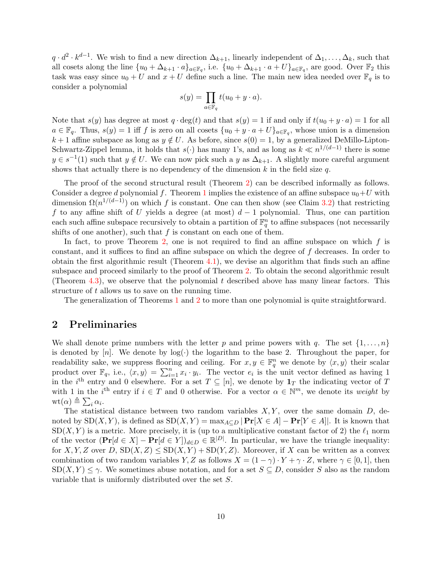$q \cdot d^2 \cdot k^{d-1}$ . We wish to find a new direction  $\Delta_{k+1}$ , linearly independent of  $\Delta_1, \ldots, \Delta_k$ , such that all cosets along the line  $\{u_0 + \Delta_{k+1} \cdot a\}_{a \in \mathbb{F}_q}$ , i.e.  $\{u_0 + \Delta_{k+1} \cdot a + U\}_{a \in \mathbb{F}_q}$ , are good. Over  $\mathbb{F}_2$  this task was easy since  $u_0 + U$  and  $x + U$  define such a line. The main new idea needed over  $\mathbb{F}_q$  is to consider a polynomial

$$
s(y) = \prod_{a \in \mathbb{F}_q} t(u_0 + y \cdot a).
$$

Note that  $s(y)$  has degree at most  $q \cdot \deg(t)$  and that  $s(y) = 1$  if and only if  $t(u_0 + y \cdot a) = 1$  for all  $a \in \mathbb{F}_q$ . Thus,  $s(y) = 1$  iff f is zero on all cosets  $\{u_0 + y \cdot a + U\}_{a \in \mathbb{F}_q}$ , whose union is a dimension  $k+1$  affine subspace as long as  $y \notin U$ . As before, since  $s(0) = 1$ , by a generalized DeMillo-Lipton-Schwartz-Zippel lemma, it holds that  $s(·)$  has many 1's, and as long as  $k \ll n^{1/(d-1)}$  there is some  $y \in s^{-1}(1)$  such that  $y \notin U$ . We can now pick such a y as  $\Delta_{k+1}$ . A slightly more careful argument shows that actually there is no dependency of the dimension  $k$  in the field size  $q$ .

The proof of the second structural result (Theorem [2\)](#page-4-0) can be described informally as follows. Consider a degree d polynomial f. Theorem [1](#page-3-0) implies the existence of an affine subspace  $u_0+U$  with dimension  $\Omega(n^{1/(d-1)})$  on which f is constant. One can then show (see Claim [3.2\)](#page-15-1) that restricting f to any affine shift of U yields a degree (at most)  $d-1$  polynomial. Thus, one can partition each such affine subspace recursively to obtain a partition of  $\mathbb{F}_q^n$  to affine subspaces (not necessarily shifts of one another), such that  $f$  is constant on each one of them.

In fact, to prove Theorem [2,](#page-4-0) one is not required to find an affine subspace on which  $f$  is constant, and it suffices to find an affine subspace on which the degree of f decreases. In order to obtain the first algorithmic result (Theorem [4.1\)](#page-18-4), we devise an algorithm that finds such an affine subspace and proceed similarly to the proof of Theorem [2.](#page-4-0) To obtain the second algorithmic result (Theorem [4.3\)](#page-18-5), we observe that the polynomial  $t$  described above has many linear factors. This structure of t allows us to save on the running time.

The generalization of Theorems [1](#page-3-0) and [2](#page-4-0) to more than one polynomial is quite straightforward.

## <span id="page-11-0"></span>2 Preliminaries

We shall denote prime numbers with the letter p and prime powers with q. The set  $\{1, \ldots, n\}$ is denoted by  $[n]$ . We denote by  $log(\cdot)$  the logarithm to the base 2. Throughout the paper, for readability sake, we suppress flooring and ceiling. For  $x, y \in \mathbb{F}_q^n$  we denote by  $\langle x, y \rangle$  their scalar product over  $\mathbb{F}_q$ , i.e.,  $\langle x, y \rangle = \sum_{i=1}^n x_i \cdot y_i$ . The vector  $e_i$  is the unit vector defined as having 1 in the i<sup>th</sup> entry and 0 elsewhere. For a set  $T \subseteq [n]$ , we denote by  $\mathbf{1}_T$  the indicating vector of T with 1 in the i<sup>th</sup> entry if  $i \in T$  and 0 otherwise. For a vector  $\alpha \in \mathbb{N}^m$ , we denote its weight by  $\operatorname{wt}(\alpha) \triangleq \sum_i \alpha_i.$ 

The statistical distance between two random variables  $X, Y$ , over the same domain  $D$ , denoted by  $SD(X, Y)$ , is defined as  $SD(X, Y) = \max_{A \subseteq D} |\Pr[X \in A] - \Pr[Y \in A]|$ . It is known that  $SD(X, Y)$  is a metric. More precisely, it is (up to a multiplicative constant factor of 2) the  $\ell_1$  norm of the vector  $(\Pr[d \in X] - \Pr[d \in Y])_{d \in D} \in \mathbb{R}^{|D|}$ . In particular, we have the triangle inequality: for X, Y, Z over D,  $SD(X, Z) \leq SD(X, Y) + SD(Y, Z)$ . Moreover, if X can be written as a convex combination of two random variables Y, Z as follows  $X = (1 - \gamma) \cdot Y + \gamma \cdot Z$ , where  $\gamma \in [0, 1]$ , then  $SD(X, Y) \leq \gamma$ . We sometimes abuse notation, and for a set  $S \subseteq D$ , consider S also as the random variable that is uniformly distributed over the set S.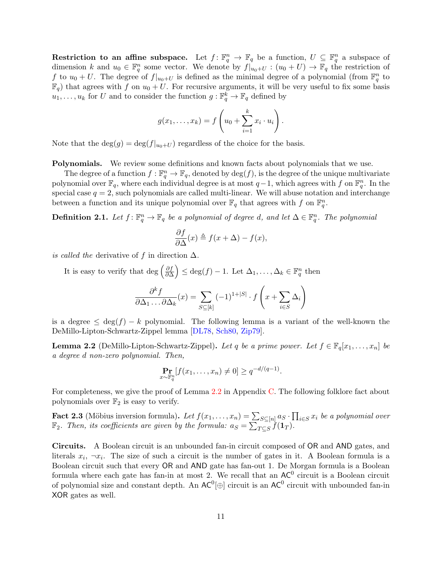Restriction to an affine subspace. Let  $f: \mathbb{F}_q^n \to \mathbb{F}_q$  be a function,  $U \subseteq \mathbb{F}_q^n$  a subspace of dimension k and  $u_0 \in \mathbb{F}_q^n$  some vector. We denote by  $f|_{u_0+U} : (u_0+U) \to \mathbb{F}_q$  the restriction of f to  $u_0 + U$ . The degree of  $f|_{u_0+U}$  is defined as the minimal degree of a polynomial (from  $\mathbb{F}_q^n$  to  $\mathbb{F}_q$ ) that agrees with f on  $u_0 + U$ . For recursive arguments, it will be very useful to fix some basis  $u_1, \ldots, u_k$  for U and to consider the function  $g: \mathbb{F}_q^k \to \mathbb{F}_q$  defined by

$$
g(x_1,\ldots,x_k)=f\left(u_0+\sum_{i=1}^k x_i\cdot u_i\right).
$$

Note that the  $\deg(g) = \deg(f|_{u_0+U})$  regardless of the choice for the basis.

Polynomials. We review some definitions and known facts about polynomials that we use.

The degree of a function  $f: \mathbb{F}_q^n \to \mathbb{F}_q$ , denoted by  $\deg(f)$ , is the degree of the unique multivariate polynomial over  $\mathbb{F}_q$ , where each individual degree is at most  $q-1$ , which agrees with f on  $\mathbb{F}_q^n$ . In the special case  $q = 2$ , such polynomials are called multi-linear. We will abuse notation and interchange between a function and its unique polynomial over  $\mathbb{F}_q$  that agrees with f on  $\mathbb{F}_q^n$ .

**Definition 2.1.** Let  $f: \mathbb{F}_q^n \to \mathbb{F}_q$  be a polynomial of degree d, and let  $\Delta \in \mathbb{F}_q^n$ . The polynomial

$$
\frac{\partial f}{\partial \Delta}(x) \triangleq f(x + \Delta) - f(x),
$$

is called the derivative of f in direction  $\Delta$ .

It is easy to verify that deg  $\left(\frac{\partial f}{\partial \Delta}\right)$  $\left(\frac{\partial f}{\partial \Delta}\right) \leq \deg(f) - 1$ . Let  $\Delta_1, \ldots, \Delta_k \in \mathbb{F}_q^n$  then

$$
\frac{\partial^k f}{\partial \Delta_1 \dots \partial \Delta_k}(x) = \sum_{S \subseteq [k]} (-1)^{1+|S|} \cdot f\left(x + \sum_{i \in S} \Delta_i\right)
$$

is a degree  $\leq$  deg(f) – k polynomial. The following lemma is a variant of the well-known the DeMillo-Lipton-Schwartz-Zippel lemma [\[DL78,](#page-25-15) [Sch80,](#page-26-13) [Zip79\]](#page-27-2).

<span id="page-12-0"></span>**Lemma 2.2** (DeMillo-Lipton-Schwartz-Zippel). Let q be a prime power. Let  $f \in \mathbb{F}_q[x_1, \ldots, x_n]$  be a degree d non-zero polynomial. Then,

$$
\Pr_{x \sim \mathbb{F}_q^n} [f(x_1,\ldots,x_n) \neq 0] \geq q^{-d/(q-1)}.
$$

For completeness, we give the proof of Lemma [2.2](#page-12-0) in Appendix [C.](#page-32-0) The following folklore fact about polynomials over  $\mathbb{F}_2$  is easy to verify.

<span id="page-12-1"></span>**Fact 2.3** (Möbius inversion formula). Let  $f(x_1, \ldots, x_n) = \sum_{S \subseteq [n]} a_S \cdot \prod_{i \in S} x_i$  be a polynomial over  $\mathbb{F}_2$ . Then, its coefficients are given by the formula:  $a_S = \sum_{T \subseteq S} f(\mathbf{1}_T)$ .

Circuits. A Boolean circuit is an unbounded fan-in circuit composed of OR and AND gates, and literals  $x_i$ ,  $\neg x_i$ . The size of such a circuit is the number of gates in it. A Boolean formula is a Boolean circuit such that every OR and AND gate has fan-out 1. De Morgan formula is a Boolean formula where each gate has fan-in at most 2. We recall that an  $AC^0$  circuit is a Boolean circuit of polynomial size and constant depth. An  $AC^0[\oplus]$  circuit is an  $AC^0$  circuit with unbounded fan-in XOR gates as well.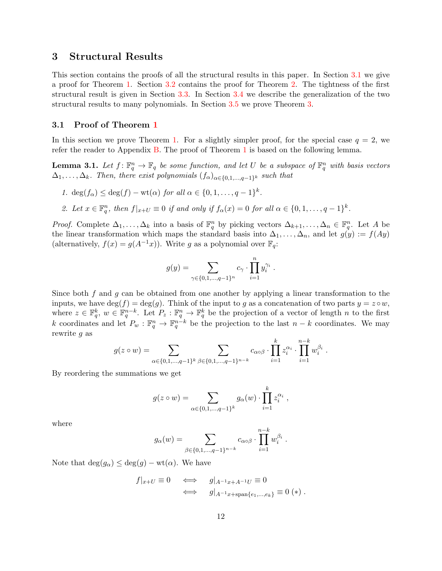## <span id="page-13-0"></span>3 Structural Results

This section contains the proofs of all the structural results in this paper. In Section [3.1](#page-13-1) we give a proof for Theorem [1.](#page-3-0) Section [3.2](#page-15-0) contains the proof for Theorem [2.](#page-4-0) The tightness of the first structural result is given in Section [3.3.](#page-16-0) In Section [3.4](#page-17-0) we describe the generalization of the two structural results to many polynomials. In Section [3.5](#page-18-0) we prove Theorem [3.](#page-5-1)

#### <span id="page-13-1"></span>3.1 Proof of Theorem [1](#page-3-0)

In this section we prove Theorem [1.](#page-3-0) For a slightly simpler proof, for the special case  $q = 2$ , we refer the reader to Appendix [B.](#page-29-0) The proof of Theorem [1](#page-3-0) is based on the following lemma.

<span id="page-13-3"></span>**Lemma 3.1.** Let  $f: \mathbb{F}_q^n \to \mathbb{F}_q$  be some function, and let U be a subspace of  $\mathbb{F}_q^n$  with basis vectors  $\Delta_1, \ldots, \Delta_k$ . Then, there exist polynomials  $(f_\alpha)_{\alpha \in \{0,1,\ldots,q-1\}^k}$  such that

- 1.  $\deg(f_\alpha) \leq \deg(f) \text{wt}(\alpha)$  for all  $\alpha \in \{0, 1, \ldots, q-1\}^k$ .
- <span id="page-13-2"></span>2. Let  $x \in \mathbb{F}_q^n$ , then  $f|_{x+U} \equiv 0$  if and only if  $f_\alpha(x) = 0$  for all  $\alpha \in \{0, 1, \ldots, q-1\}^k$ .

*Proof.* Complete  $\Delta_1, \ldots, \Delta_k$  into a basis of  $\mathbb{F}_q^n$  by picking vectors  $\Delta_{k+1}, \ldots, \Delta_n \in \mathbb{F}_q^n$ . Let A be the linear transformation which maps the standard basis into  $\Delta_1, \ldots, \Delta_n$ , and let  $g(y) := f(Ay)$ (alternatively,  $f(x) = g(A^{-1}x)$ ). Write g as a polynomial over  $\mathbb{F}_q$ :

$$
g(y) = \sum_{\gamma \in \{0, 1, \dots, q-1\}^n} c_{\gamma} \cdot \prod_{i=1}^n y_i^{\gamma_i} .
$$

Since both  $f$  and  $g$  can be obtained from one another by applying a linear transformation to the inputs, we have  $\deg(f) = \deg(q)$ . Think of the input to q as a concatenation of two parts  $y = z \circ w$ , where  $z \in \mathbb{F}_q^k$ ,  $w \in \mathbb{F}_q^{n-k}$ . Let  $P_z : \mathbb{F}_q^n \to \mathbb{F}_q^k$  be the projection of a vector of length n to the first k coordinates and let  $P_w : \mathbb{F}_q^n \to \mathbb{F}_q^{n-k}$  be the projection to the last  $n-k$  coordinates. We may rewrite g as

$$
g(z \circ w) = \sum_{\alpha \in \{0,1,\dots,q-1\}^k} \sum_{\beta \in \{0,1,\dots,q-1\}^{n-k}} c_{\alpha \circ \beta} \cdot \prod_{i=1}^k z_i^{\alpha_i} \cdot \prod_{i=1}^{n-k} w_i^{\beta_i}.
$$

By reordering the summations we get

$$
g(z \circ w) = \sum_{\alpha \in \{0, 1, \dots, q-1\}^k} g_{\alpha}(w) \cdot \prod_{i=1}^k z_i^{\alpha_i} ,
$$

where

$$
g_{\alpha}(w) = \sum_{\beta \in \{0, 1, \dots, q-1\}^{n-k}} c_{\alpha \circ \beta} \cdot \prod_{i=1}^{n-k} w_i^{\beta_i}.
$$

Note that  $deg(g_{\alpha}) \leq deg(g) - wt(\alpha)$ . We have

$$
f|_{x+U} \equiv 0 \iff g|_{A^{-1}x+A^{-1}U} \equiv 0
$$
  

$$
\iff g|_{A^{-1}x+\text{span}\{e_1,\dots,e_k\}} \equiv 0 (*) .
$$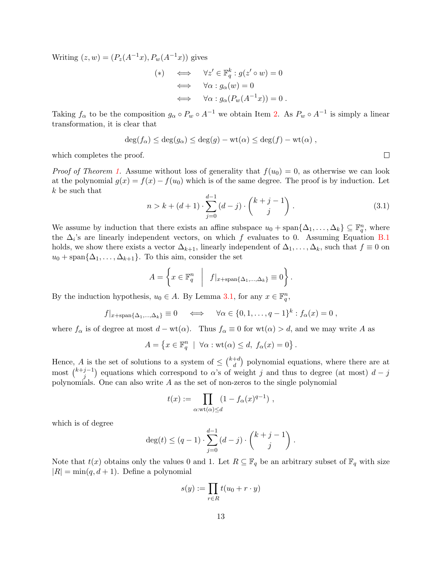Writing  $(z, w) = (P_z(A^{-1}x), P_w(A^{-1}x))$  gives

$$
(*) \iff \forall z' \in \mathbb{F}_q^k : g(z' \circ w) = 0
$$
  

$$
\iff \forall \alpha : g_\alpha(w) = 0
$$
  

$$
\iff \forall \alpha : g_\alpha(P_w(A^{-1}x)) = 0.
$$

Taking  $f_{\alpha}$  to be the composition  $g_{\alpha} \circ P_w \circ A^{-1}$  we obtain Item [2.](#page-13-2) As  $P_w \circ A^{-1}$  is simply a linear transformation, it is clear that

$$
\deg(f_{\alpha}) \leq \deg(g_{\alpha}) \leq \deg(g) - \mathrm{wt}(\alpha) \leq \deg(f) - \mathrm{wt}(\alpha) ,
$$

which completes the proof.

*Proof of Theorem [1.](#page-3-0)* Assume without loss of generality that  $f(u_0) = 0$ , as otherwise we can look at the polynomial  $g(x) = f(x) - f(u_0)$  which is of the same degree. The proof is by induction. Let k be such that

$$
n > k + (d+1) \cdot \sum_{j=0}^{d-1} (d-j) \cdot \binom{k+j-1}{j} \,. \tag{3.1}
$$

We assume by induction that there exists an affine subspace  $u_0 + \text{span}\{\Delta_1, \ldots, \Delta_k\} \subseteq \mathbb{F}_q^n$ , where the  $\Delta_i$ 's are linearly independent vectors, on which f evaluates to 0. Assuming Equation [B.1](#page-29-1) holds, we show there exists a vector  $\Delta_{k+1}$ , linearly independent of  $\Delta_1, \ldots, \Delta_k$ , such that  $f \equiv 0$  on  $u_0 + \text{span}\{\Delta_1, \ldots, \Delta_{k+1}\}.$  To this aim, consider the set

$$
A = \left\{ x \in \mathbb{F}_q^n \middle| f|_{x + \text{span}\{\Delta_1, ..., \Delta_k\}} \equiv 0 \right\}.
$$

By the induction hypothesis,  $u_0 \in A$ . By Lemma [3.1,](#page-13-3) for any  $x \in \mathbb{F}_q^n$ ,

$$
f|_{x+\text{span}\{\Delta_1,\dots,\Delta_k\}} \equiv 0 \quad \iff \quad \forall \alpha \in \{0,1,\dots,q-1\}^k : f_\alpha(x) = 0 ,
$$

where  $f_\alpha$  is of degree at most  $d - \text{wt}(\alpha)$ . Thus  $f_\alpha \equiv 0$  for  $\text{wt}(\alpha) > d$ , and we may write A as

$$
A = \{ x \in \mathbb{F}_q^n \mid \forall \alpha : \text{wt}(\alpha) \leq d, \ f_\alpha(x) = 0 \}.
$$

Hence, A is the set of solutions to a system of  $\leq \binom{k+d}{d}$  $\binom{+d}{d}$  polynomial equations, where there are at most  $\binom{k+j-1}{i}$  $j^{-1}$ ) equations which correspond to  $\alpha$ 's of weight j and thus to degree (at most)  $d-j$ polynomials. One can also write  $A$  as the set of non-zeros to the single polynomial

$$
t(x) := \prod_{\alpha: \text{wt}(\alpha) \leq d} (1 - f_{\alpha}(x)^{q-1}),
$$

which is of degree

$$
\deg(t) \le (q-1) \cdot \sum_{j=0}^{d-1} (d-j) \cdot \binom{k+j-1}{j} \; .
$$

Note that  $t(x)$  obtains only the values 0 and 1. Let  $R \subseteq \mathbb{F}_q$  be an arbitrary subset of  $\mathbb{F}_q$  with size  $|R| = min(q, d + 1)$ . Define a polynomial

$$
s(y) := \prod_{r \in R} t(u_0 + r \cdot y)
$$

 $\Box$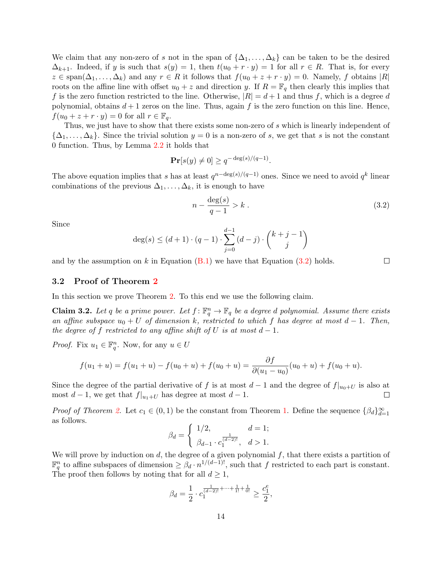We claim that any non-zero of s not in the span of  $\{\Delta_1, \ldots, \Delta_k\}$  can be taken to be the desired  $\Delta_{k+1}$ . Indeed, if y is such that  $s(y) = 1$ , then  $t(u_0 + r \cdot y) = 1$  for all  $r \in R$ . That is, for every  $z \in \text{span}(\Delta_1,\ldots,\Delta_k)$  and any  $r \in R$  it follows that  $f(u_0 + z + r \cdot y) = 0$ . Namely, f obtains  $|R|$ roots on the affine line with offset  $u_0 + z$  and direction y. If  $R = \mathbb{F}_q$  then clearly this implies that f is the zero function restricted to the line. Otherwise,  $|R|=d+1$  and thus f, which is a degree d polynomial, obtains  $d+1$  zeros on the line. Thus, again f is the zero function on this line. Hence,  $f(u_0 + z + r \cdot y) = 0$  for all  $r \in \mathbb{F}_q$ .

Thus, we just have to show that there exists some non-zero of s which is linearly independent of  ${\{\Delta_1,\ldots,\Delta_k\}}$ . Since the trivial solution  $y=0$  is a non-zero of s, we get that s is not the constant 0 function. Thus, by Lemma [2.2](#page-12-0) it holds that

$$
\mathbf{Pr}[s(y) \neq 0] \ge q^{-\deg(s)/(q-1)}.
$$

The above equation implies that s has at least  $q^{n-\deg(s)/(q-1)}$  ones. Since we need to avoid  $q^k$  linear combinations of the previous  $\Delta_1, \ldots, \Delta_k$ , it is enough to have

<span id="page-15-2"></span>
$$
n - \frac{\deg(s)}{q - 1} > k \tag{3.2}
$$

Since

$$
\deg(s) \le (d+1) \cdot (q-1) \cdot \sum_{j=0}^{d-1} (d-j) \cdot \binom{k+j-1}{j}
$$

and by the assumption on k in Equation  $(B.1)$  we have that Equation  $(3.2)$  holds.

#### $\Box$

#### <span id="page-15-0"></span>3.2 Proof of Theorem [2](#page-4-0)

In this section we prove Theorem [2.](#page-4-0) To this end we use the following claim.

<span id="page-15-1"></span>**Claim 3.2.** Let q be a prime power. Let  $f: \mathbb{F}_q^n \to \mathbb{F}_q$  be a degree d polynomial. Assume there exists an affine subspace  $u_0 + U$  of dimension k, restricted to which f has degree at most  $d - 1$ . Then, the degree of f restricted to any affine shift of U is at most  $d-1$ .

*Proof.* Fix  $u_1 \in \mathbb{F}_q^n$ . Now, for any  $u \in U$ 

$$
f(u_1 + u) = f(u_1 + u) - f(u_0 + u) + f(u_0 + u) = \frac{\partial f}{\partial (u_1 - u_0)}(u_0 + u) + f(u_0 + u).
$$

Since the degree of the partial derivative of f is at most  $d-1$  and the degree of  $f|_{u_0+U}$  is also at most  $d-1$ , we get that  $f|_{u_1+U}$  has degree at most  $d-1$ .  $\Box$ 

*Proof of Theorem [2.](#page-4-0)* Let  $c_1 \in (0,1)$  be the constant from Theorem [1.](#page-3-0) Define the sequence  $\{\beta_d\}_{d=1}^{\infty}$ as follows.

$$
\beta_d = \begin{cases} 1/2, & d = 1; \\ \beta_{d-1} \cdot c_1^{\frac{1}{(d-2)!}}, & d > 1. \end{cases}
$$

We will prove by induction on  $d$ , the degree of a given polynomial  $f$ , that there exists a partition of  $\mathbb{F}_q^n$  to affine subspaces of dimension  $\geq \beta_d \cdot n^{1/(d-1)!}$ , such that f restricted to each part is constant. The proof then follows by noting that for all  $d \geq 1$ ,

$$
\beta_d=\frac{1}{2}\cdot c_1^{\frac{1}{(d-2)!}+\cdots+\frac{1}{1!}+\frac{1}{0!}}\geq \frac{c_1^e}{2},
$$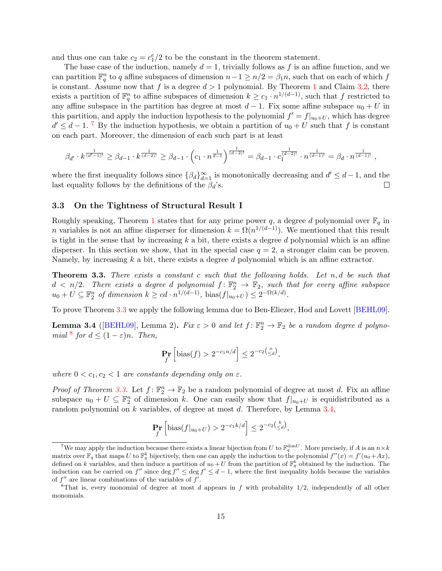and thus one can take  $c_2 = c_1^e/2$  to be the constant in the theorem statement.

The base case of the induction, namely  $d = 1$ , trivially follows as f is an affine function, and we can partition  $\mathbb{F}_q^n$  to q affine subspaces of dimension  $n-1 \geq n/2 = \beta_1 n$ , such that on each of which f is constant. Assume now that f is a degree  $d > 1$  $d > 1$  polynomial. By Theorem 1 and Claim [3.2,](#page-15-1) there exists a partition of  $\mathbb{F}_q^n$  to affine subspaces of dimension  $k \geq c_1 \cdot n^{1/(d-1)}$ , such that f restricted to any affine subspace in the partition has degree at most  $d-1$ . Fix some affine subspace  $u_0 + U$  in this partition, and apply the induction hypothesis to the polynomial  $f' = f|_{u_0+U}$ , which has degree  $d' \leq d-1$ . <sup>[7](#page-16-1)</sup> By the induction hypothesis, we obtain a partition of  $u_0 + U$  such that f is constant on each part. Moreover, the dimension of each such part is at least

$$
\beta_{d'} \cdot k^{\frac{1}{(d'-1)!}} \ge \beta_{d-1} \cdot k^{\frac{1}{(d-2)!}} \ge \beta_{d-1} \cdot \left(c_1 \cdot n^{\frac{1}{d-1}}\right)^{\frac{1}{(d-2)!}} = \beta_{d-1} \cdot c_1^{\frac{1}{(d-2)!}} \cdot n^{\frac{1}{(d-1)!}} = \beta_d \cdot n^{\frac{1}{(d-1)!}},
$$

where the first inequality follows since  $\{\beta_d\}_{d=1}^{\infty}$  is monotonically decreasing and  $d' \leq d-1$ , and the last equality follows by the definitions of the  $\beta_d$ 's.  $\Box$ 

### <span id="page-16-0"></span>3.3 On the Tightness of Structural Result I

Roughly speaking, Theorem [1](#page-3-0) states that for any prime power q, a degree d polynomial over  $\mathbb{F}_q$  in *n* variables is not an affine disperser for dimension  $k = \Omega(n^{1/(d-1)})$ . We mentioned that this result is tight in the sense that by increasing  $k$  a bit, there exists a degree  $d$  polynomial which is an affine disperser. In this section we show, that in the special case  $q = 2$ , a stronger claim can be proven. Namely, by increasing  $k$  a bit, there exists a degree  $d$  polynomial which is an affine extractor.

<span id="page-16-2"></span>**Theorem 3.3.** There exists a constant c such that the following holds. Let  $n, d$  be such that  $d \langle n/2 \rangle$ . There exists a degree d polynomial  $f: \mathbb{F}_2^n \to \mathbb{F}_2$ , such that for every affine subspace  $u_0 + U \subseteq \mathbb{F}_2^n$  of dimension  $k \geq cd \cdot n^{1/(d-1)}$ , bias $(f|_{u_0+U}) \leq 2^{-\Omega(k/d)}$ .

To prove Theorem [3.3](#page-16-2) we apply the following lemma due to Ben-Eliezer, Hod and Lovett [\[BEHL09\]](#page-24-2).

<span id="page-16-4"></span>**Lemma 3.4** ([\[BEHL09\]](#page-24-2), Lemma 2). Fix  $\varepsilon > 0$  and let  $f: \mathbb{F}_2^n \to \mathbb{F}_2$  be a random degree d polyno-mial <sup>[8](#page-16-3)</sup> for  $d \leq (1 - \varepsilon)n$ . Then,

$$
\Pr_f\left[\text{bias}(f) > 2^{-c_1 n/d}\right] \le 2^{-c_2\left(\frac{n}{\le d}\right)},
$$

where  $0 < c_1, c_2 < 1$  are constants depending only on  $\varepsilon$ .

*Proof of Theorem [3.3.](#page-16-2)* Let  $f: \mathbb{F}_2^n \to \mathbb{F}_2$  be a random polynomial of degree at most d. Fix an affine subspace  $u_0 + U \subseteq \mathbb{F}_2^n$  of dimension k. One can easily show that  $f|_{u_0+U}$  is equidistributed as a random polynomial on k variables, of degree at most d. Therefore, by Lemma [3.4,](#page-16-4)

$$
\Pr_f\left[\text{bias}(f|_{u_0+U}) > 2^{-c_1k/d}\right] \le 2^{-c_2\left(\frac{k}{\le d}\right)},
$$

<span id="page-16-1"></span><sup>&</sup>lt;sup>7</sup>We may apply the induction because there exists a linear bijection from U to  $\mathbb{F}_q^{\dim U}$ . More precisely, if A is an  $n \times k$ matrix over  $\mathbb{F}_q$  that maps U to  $\mathbb{F}_q^k$  bijectively, then one can apply the induction to the polynomial  $f''(x) = f'(u_0 + Ax)$ , defined on k variables, and then induce a partition of  $u_0+U$  from the partition of  $\mathbb{F}_q^k$  obtained by the induction. The induction can be carried on f'' since deg  $f'' \le \deg f' \le d-1$ , where the first inequality holds because the variables of  $f''$  are linear combinations of the variables of  $f'$ .

<span id="page-16-3"></span><sup>&</sup>lt;sup>8</sup>That is, every monomial of degree at most d appears in f with probability  $1/2$ , independently of all other monomials.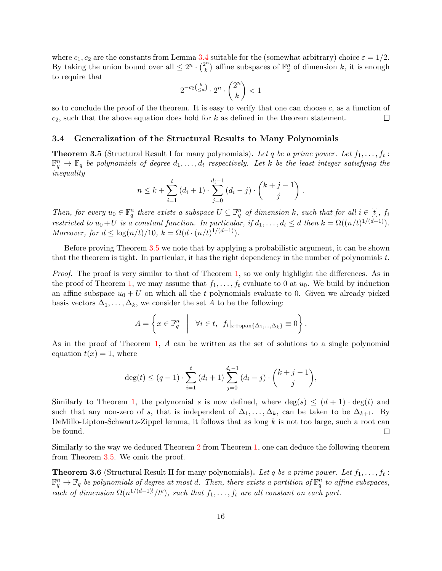where  $c_1, c_2$  are the constants from Lemma [3.4](#page-16-4) suitable for the (somewhat arbitrary) choice  $\varepsilon = 1/2$ . By taking the union bound over all  $\leq 2^n \cdot \binom{2^n}{k}$  $\binom{n}{k}$  affine subspaces of  $\mathbb{F}_2^n$  of dimension k, it is enough to require that

$$
2^{-c_2\binom{k}{\leq d}}\cdot 2^n\cdot \binom{2^n}{k}<1
$$

so to conclude the proof of the theorem. It is easy to verify that one can choose c, as a function of  $c_2$ , such that the above equation does hold for k as defined in the theorem statement.  $\Box$ 

## <span id="page-17-0"></span>3.4 Generalization of the Structural Results to Many Polynomials

<span id="page-17-1"></span>**Theorem 3.5** (Structural Result I for many polynomials). Let q be a prime power. Let  $f_1, \ldots, f_t$ :  $\mathbb{F}_q^n \to \mathbb{F}_q$  be polynomials of degree  $d_1,\ldots,d_t$  respectively. Let k be the least integer satisfying the inequality

$$
n \leq k + \sum_{i=1}^{t} (d_i + 1) \cdot \sum_{j=0}^{d_i - 1} (d_i - j) \cdot \binom{k+j-1}{j} \; .
$$

Then, for every  $u_0 \in \mathbb{F}_q^n$  there exists a subspace  $U \subseteq \mathbb{F}_q^n$  of dimension k, such that for all  $i \in [t]$ ,  $f_i$ restricted to  $u_0 + U$  is a constant function. In particular, if  $d_1, \ldots, d_t \leq d$  then  $k = \Omega((n/t)^{1/(d-1)})$ . Moreover, for  $d \leq \log(n/t)/10$ ,  $k = \Omega(d \cdot (n/t)^{1/(d-1)})$ .

Before proving Theorem [3.5](#page-17-1) we note that by applying a probabilistic argument, it can be shown that the theorem is tight. In particular, it has the right dependency in the number of polynomials  $t$ .

Proof. The proof is very similar to that of Theorem [1,](#page-3-0) so we only highlight the differences. As in the proof of Theorem [1,](#page-3-0) we may assume that  $f_1, \ldots, f_t$  evaluate to 0 at  $u_0$ . We build by induction an affine subspace  $u_0 + U$  on which all the t polynomials evaluate to 0. Given we already picked basis vectors  $\Delta_1, \ldots, \Delta_k$ , we consider the set A to be the following:

$$
A = \left\{ x \in \mathbb{F}_q^n \middle| \forall i \in t, f_i|_{x + \text{span}\{\Delta_1, \dots, \Delta_k\}} \equiv 0 \right\}.
$$

As in the proof of Theorem [1,](#page-3-0) A can be written as the set of solutions to a single polynomial equation  $t(x) = 1$ , where

$$
\deg(t) \le (q-1) \cdot \sum_{i=1}^t (d_i + 1) \sum_{j=0}^{d_i - 1} (d_i - j) \cdot \binom{k+j-1}{j},
$$

Similarly to Theorem [1,](#page-3-0) the polynomial s is now defined, where  $\deg(s) \leq (d+1) \cdot \deg(t)$  and such that any non-zero of s, that is independent of  $\Delta_1, \ldots, \Delta_k$ , can be taken to be  $\Delta_{k+1}$ . By DeMillo-Lipton-Schwartz-Zippel lemma, it follows that as long  $k$  is not too large, such a root can be found.  $\Box$ 

Similarly to the way we deduced Theorem [2](#page-4-0) from Theorem [1,](#page-3-0) one can deduce the following theorem from Theorem [3.5.](#page-17-1) We omit the proof.

<span id="page-17-2"></span>**Theorem 3.6** (Structural Result II for many polynomials). Let q be a prime power. Let  $f_1, \ldots, f_t$ :  $\mathbb{F}_q^n \to \mathbb{F}_q$  be polynomials of degree at most d. Then, there exists a partition of  $\mathbb{F}_q^n$  to affine subspaces, each of dimension  $\Omega(n^{1/(d-1)!)}/t^e$ , such that  $f_1, \ldots, f_t$  are all constant on each part.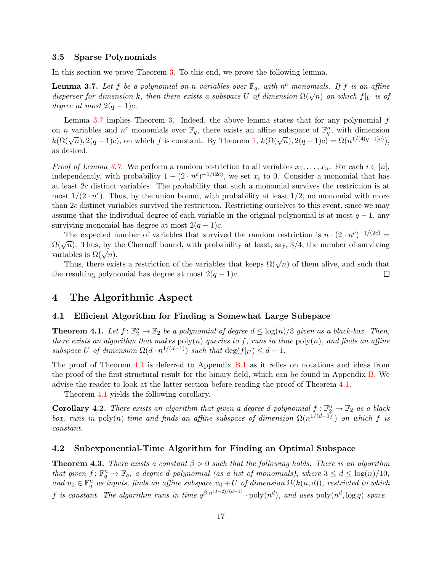### <span id="page-18-0"></span>3.5 Sparse Polynomials

In this section we prove Theorem [3.](#page-5-1) To this end, we prove the following lemma.

<span id="page-18-6"></span>**Lemma 3.7.** Let f be a polynomial on n variables over  $\mathbb{F}_q$ , with  $n^c$  monomials. If f is an affine **Definite 3.1.** Let f be a polynomial on n cartables over  $\mathbb{F}_q$ , with n monomials. If f is an affine disperser for dimension k, then there exists a subspace U of dimension  $\Omega(\sqrt{n})$  on which  $f|_U$  is of degree at most  $2(q-1)c$ .

Lemma [3.7](#page-18-6) implies Theorem [3.](#page-5-1) Indeed, the above lemma states that for any polynomial  $f$ on *n* variables and  $n^c$  monomials over  $\mathbb{F}_q$ , there exists an affine subspace of  $\mathbb{F}_q^n$ , with dimension  $k(\Omega(\sqrt{n}), 2(q-1)c)$ , on which f is constant. By Theorem [1,](#page-3-0)  $k(\Omega(\sqrt{n}), 2(q-1)c) = \Omega(n^{1/(4(q-1)c)})$ , as desired.

*Proof of Lemma [3.7.](#page-18-6)* We perform a random restriction to all variables  $x_1, \ldots, x_n$ . For each  $i \in [n]$ , independently, with probability  $1 - (2 \cdot n^c)^{-1/(2c)}$ , we set  $x_i$  to 0. Consider a monomial that has at least 2c distinct variables. The probability that such a monomial survives the restriction is at most  $1/(2 \cdot n^c)$ . Thus, by the union bound, with probability at least  $1/2$ , no monomial with more than 2c distinct variables survived the restriction. Restricting ourselves to this event, since we may assume that the individual degree of each variable in the original polynomial is at most  $q - 1$ , any surviving monomial has degree at most  $2(q-1)c$ .

The expected number of variables that survived the random restriction is  $n \cdot (2 \cdot n^c)^{-1/(2c)} =$ The expected number of variables that survived the random restriction is  $h^+(\lambda^2 h)$ . Thus, by the Chernoff bound, with probability at least, say, 3/4, the number of surviving variables is  $\Omega(\sqrt{n})$ .

Thus, there exists a restriction of the variables that keeps  $\Omega(\sqrt{n})$  of them alive, and such that the resulting polynomial has degree at most  $2(q-1)c$ .  $\Box$ 

## <span id="page-18-1"></span>4 The Algorithmic Aspect

## <span id="page-18-2"></span>4.1 Efficient Algorithm for Finding a Somewhat Large Subspace

<span id="page-18-4"></span>**Theorem 4.1.** Let  $f: \mathbb{F}_2^n \to \mathbb{F}_2$  be a polynomial of degree  $d \leq \log(n)/3$  given as a black-box. Then, there exists an algorithm that makes  $poly(n)$  queries to f, runs in time  $poly(n)$ , and finds an affine subspace U of dimension  $\Omega(d \cdot n^{1/(d-1)})$  such that  $\deg(f|_U) \leq d-1$ .

The proof of Theorem [4.1](#page-18-4) is deferred to Appendix [B.1](#page-31-0) as it relies on notations and ideas from the proof of the first structural result for the binary field, which can be found in Appendix [B.](#page-29-0) We advise the reader to look at the latter section before reading the proof of Theorem [4.1.](#page-18-4)

Theorem [4.1](#page-18-4) yields the following corollary.

**Corollary 4.2.** There exists an algorithm that given a degree d polynomial  $f: \mathbb{F}_2^n \to \mathbb{F}_2$  as a black box, runs in poly(n)-time and finds an affine subspace of dimension  $\Omega(n^{1/(d-1)!)}$  on which f is constant.

#### <span id="page-18-3"></span>4.2 Subexponential-Time Algorithm for Finding an Optimal Subspace

<span id="page-18-5"></span>**Theorem 4.3.** There exists a constant  $\beta > 0$  such that the following holds. There is an algorithm that given  $f: \mathbb{F}_q^n \to \mathbb{F}_q$ , a degree d polynomial (as a list of monomials), where  $3 \leq d \leq \log(n)/10$ , and  $u_0 \in \mathbb{F}_q^n$  as inputs, finds an affine subspace  $u_0 + U$  of dimension  $\Omega(k(n,d))$ , restricted to which f is constant. The algorithm runs in time  $q^{\beta \cdot n^{(d-2)/(d-1)}} \cdot \text{poly}(n^d)$ , and uses  $\text{poly}(n^d, \log q)$  space.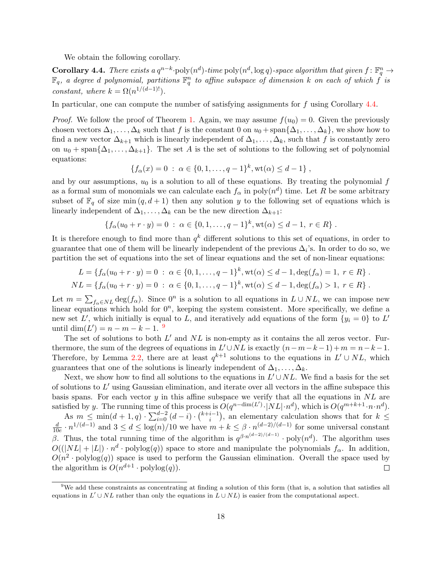We obtain the following corollary.

<span id="page-19-0"></span> ${\bf Corollary 4.4.}$  There exists a  $q^{n-k}\cdot {\rm poly}(n^d)$ -time  ${\rm poly}(n^d, \log q)$ -space algorithm that given  $f\colon \mathbb{F}_q^n\to$  $\mathbb{F}_q$ , a degree d polynomial, partitions  $\mathbb{F}_q^n$  to affine subspace of dimension  $k$  on each of which  $\overline{f}$  is constant, where  $k = \Omega(n^{1/(d-1)!})$ .

In particular, one can compute the number of satisfying assignments for f using Corollary [4.4.](#page-19-0)

*Proof.* We follow the proof of Theorem [1.](#page-3-0) Again, we may assume  $f(u_0) = 0$ . Given the previously chosen vectors  $\Delta_1, \ldots, \Delta_k$  such that f is the constant 0 on  $u_0 + \text{span}\{\Delta_1, \ldots, \Delta_k\}$ , we show how to find a new vector  $\Delta_{k+1}$  which is linearly independent of  $\Delta_1, \ldots, \Delta_k$ , such that f is constantly zero on  $u_0$  + span $\{\Delta_1,\ldots,\Delta_{k+1}\}.$  The set A is the set of solutions to the following set of polynomial equations:

$$
\{f_{\alpha}(x) = 0 \; : \; \alpha \in \{0, 1, \ldots, q - 1\}^{k}, \text{wt}(\alpha) \leq d - 1\},
$$

and by our assumptions,  $u_0$  is a solution to all of these equations. By treating the polynomial f as a formal sum of monomials we can calculate each  $f_{\alpha}$  in  $\text{poly}(n^d)$  time. Let R be some arbitrary subset of  $\mathbb{F}_q$  of size min  $(q, d+1)$  then any solution y to the following set of equations which is linearly independent of  $\Delta_1, \ldots, \Delta_k$  can be the new direction  $\Delta_{k+1}$ :

$$
\{f_{\alpha}(u_0+r \cdot y) = 0 \; : \; \alpha \in \{0,1,\ldots,q-1\}^k, \text{wt}(\alpha) \leq d-1, \; r \in R\} \; .
$$

It is therefore enough to find more than  $q^k$  different solutions to this set of equations, in order to guarantee that one of them will be linearly independent of the previous  $\Delta_i$ 's. In order to do so, we partition the set of equations into the set of linear equations and the set of non-linear equations:

$$
L = \{ f_{\alpha}(u_0 + r \cdot y) = 0 \; : \; \alpha \in \{0, 1, \dots, q - 1\}^k, \text{wt}(\alpha) \leq d - 1, \text{deg}(f_{\alpha}) = 1, \; r \in R \} .
$$
  

$$
NL = \{ f_{\alpha}(u_0 + r \cdot y) = 0 \; : \; \alpha \in \{0, 1, \dots, q - 1\}^k, \text{wt}(\alpha) \leq d - 1, \text{deg}(f_{\alpha}) > 1, \; r \in R \} .
$$

Let  $m = \sum_{f_\alpha \in NL} \deg(f_\alpha)$ . Since  $0^n$  is a solution to all equations in  $L \cup NL$ , we can impose new linear equations which hold for  $0^n$ , keeping the system consistent. More specifically, we define a new set L', which initially is equal to L, and iteratively add equations of the form  $\{y_i = 0\}$  to L' until dim $(L') = n - m - k - 1$ . <sup>[9](#page-19-1)</sup>

The set of solutions to both  $L'$  and  $NL$  is non-empty as it contains the all zeros vector. Furthermore, the sum of the degrees of equations in  $L' \cup NL$  is exactly  $(n-m-k-1)+m = n-k-1$ . Therefore, by Lemma [2.2,](#page-12-0) there are at least  $q^{k+1}$  solutions to the equations in  $L' \cup NL$ , which guarantees that one of the solutions is linearly independent of  $\Delta_1, \ldots, \Delta_k$ .

Next, we show how to find all solutions to the equations in  $L' \cup NL$ . We find a basis for the set of solutions to  $L'$  using Gaussian elimination, and iterate over all vectors in the affine subspace this basis spans. For each vector y in this affine subspace we verify that all the equations in  $NL$  are satisfied by y. The running time of this process is  $O(q^{n-\dim(L')}\cdot |NL|\cdot n^d)$ , which is  $O(q^{m+k+1}\cdot n\cdot n^d)$ .

As  $m \leq \min(d+1, q) \cdot \sum_{i=0}^{d-2} (d-i) \cdot {k+i-1 \choose i}$  $i^{-1}$ , an elementary calculation shows that for  $k \leq$  $\frac{d}{10e} \cdot n^{1/(d-1)}$  and  $3 \le d \le \log(n)/10$  we have  $m + k \le \beta \cdot n^{(d-2)/(d-1)}$  for some universal constant d β. Thus, the total running time of the algorithm is  $q^{\beta \cdot n^{(d-2)/(d-1)}} \cdot \text{poly}(n^d)$ . The algorithm uses  $O((|NL|+|L|) \cdot n^d \cdot \text{polylog}(q))$  space to store and manipulate the polynomials  $f_\alpha$ . In addition,  $O(n^2 \cdot \text{polylog}(q))$  space is used to perform the Gaussian elimination. Overall the space used by the algorithm is  $O(n^{d+1} \cdot \text{polylog}(q)).$  $\Box$ 

<span id="page-19-1"></span><sup>9</sup>We add these constraints as concentrating at finding a solution of this form (that is, a solution that satisfies all equations in  $L' \cup NL$  rather than only the equations in  $L \cup NL$ ) is easier from the computational aspect.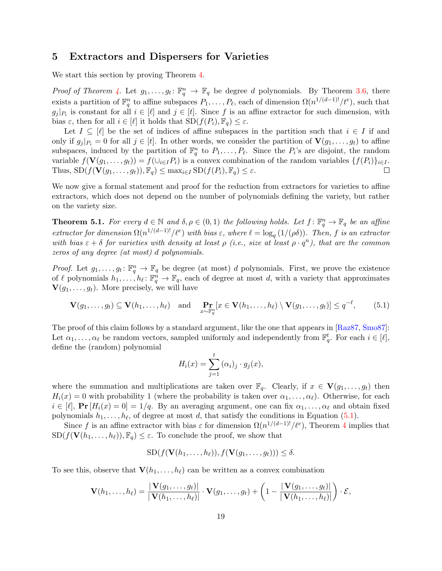## <span id="page-20-0"></span>5 Extractors and Dispersers for Varieties

We start this section by proving Theorem [4.](#page-6-1)

*Proof of Theorem [4.](#page-6-1)* Let  $g_1, \ldots, g_t: \mathbb{F}_q^n \to \mathbb{F}_q$  be degree d polynomials. By Theorem [3.6,](#page-17-2) there exists a partition of  $\mathbb{F}_q^n$  to affine subspaces  $P_1, \ldots, P_\ell$ , each of dimension  $\Omega(n^{1/(d-1)!}/t^e)$ , such that  $g_j |_{P_i}$  is constant for all  $i \in [\ell]$  and  $j \in [t]$ . Since f is an affine extractor for such dimension, with bias  $\varepsilon$ , then for all  $i \in [\ell]$  it holds that  $SD(f(P_i), \mathbb{F}_q) \leq \varepsilon$ .

Let  $I \subseteq [\ell]$  be the set of indices of affine subspaces in the partition such that  $i \in I$  if and only if  $g_j |_{P_i} = 0$  for all  $j \in [t]$ . In other words, we consider the partition of  $\mathbf{V}(g_1, \ldots, g_t)$  to affine subspaces, induced by the partition of  $\mathbb{F}_q^n$  to  $P_1, \ldots, P_\ell$ . Since the  $P_i$ 's are disjoint, the random variable  $f(\mathbf{V}(g_1, \ldots, g_t)) = f(\cup_{i \in I} P_i)$  is a convex combination of the random variables  $\{f(P_i)\}_{i \in I}$ . Thus,  $SD(f(\mathbf{V}(g_1,\ldots,g_t)), \mathbb{F}_q) \leq \max_{i \in I} SD(f(P_i), \mathbb{F}_q) \leq \varepsilon$ .  $\Box$ 

We now give a formal statement and proof for the reduction from extractors for varieties to affine extractors, which does not depend on the number of polynomials defining the variety, but rather on the variety size.

<span id="page-20-1"></span>**Theorem 5.1.** For every  $d \in \mathbb{N}$  and  $\delta, \rho \in (0, 1)$  the following holds. Let  $f: \mathbb{F}_q^n \to \mathbb{F}_q$  be an affine extractor for dimension  $\Omega(n^{1/(d-1)l}/\ell^e)$  with bias  $\varepsilon$ , where  $\ell = \log_q(1/(\rho\delta))$ . Then, f is an extractor with bias  $\varepsilon + \delta$  for varieties with density at least  $\rho$  (i.e., size at least  $\rho \cdot q^n$ ), that are the common zeros of any degree (at most) d polynomials.

*Proof.* Let  $g_1, \ldots, g_t: \mathbb{F}_q^n \to \mathbb{F}_q$  be degree (at most) d polynomials. First, we prove the existence of  $\ell$  polynomials  $h_1, \ldots, h_\ell : \mathbb{F}_q^n \to \mathbb{F}_q$ , each of degree at most d, with a variety that approximates  $\mathbf{V}(g_1, \ldots, g_t)$ . More precisely, we will have

$$
\mathbf{V}(g_1,\ldots,g_t) \subseteq \mathbf{V}(h_1,\ldots,h_\ell) \quad \text{and} \quad \underset{x\sim \mathbb{F}_q^n}{\mathbf{Pr}}[x \in \mathbf{V}(h_1,\ldots,h_\ell) \setminus \mathbf{V}(g_1,\ldots,g_t)] \le q^{-\ell},\tag{5.1}
$$

The proof of this claim follows by a standard argument, like the one that appears in [\[Raz87,](#page-26-14) [Smo87\]](#page-26-15): Let  $\alpha_1, \ldots, \alpha_\ell$  be random vectors, sampled uniformly and independently from  $\mathbb{F}_q^t$ . For each  $i \in [\ell],$ define the (random) polynomial

<span id="page-20-2"></span>
$$
H_i(x) = \sum_{j=1}^t (\alpha_i)_j \cdot g_j(x),
$$

where the summation and multiplications are taken over  $\mathbb{F}_q$ . Clearly, if  $x \in V(g_1, \ldots, g_t)$  then  $H_i(x) = 0$  with probability 1 (where the probability is taken over  $\alpha_1, \ldots, \alpha_\ell$ ). Otherwise, for each  $i \in [\ell], \Pr[H_i(x) = 0] = 1/q.$  By an averaging argument, one can fix  $\alpha_1, \ldots, \alpha_\ell$  and obtain fixed polynomials  $h_1, \ldots, h_\ell$ , of degree at most d, that satisfy the conditions in Equation [\(5.1\)](#page-20-2).

Since f is an affine extractor with bias  $\varepsilon$  for dimension  $\Omega(n^{1/(d-1)!}/\ell^e)$ , Theorem [4](#page-6-1) implies that  $SD(f(\mathbf{V}(h_1, \ldots, h_\ell)), \mathbb{F}_q) \leq \varepsilon$ . To conclude the proof, we show that

$$
SD(f(\mathbf{V}(h_1,\ldots,h_\ell)),f(\mathbf{V}(g_1,\ldots,g_t))) \leq \delta.
$$

To see this, observe that  $\mathbf{V}(h_1, \ldots, h_\ell)$  can be written as a convex combination

$$
\mathbf{V}(h_1,\ldots,h_\ell)=\frac{|\mathbf{V}(g_1,\ldots,g_t)|}{|\mathbf{V}(h_1,\ldots,h_\ell)|}\cdot\mathbf{V}(g_1,\ldots,g_t)+\left(1-\frac{|\mathbf{V}(g_1,\ldots,g_t)|}{|\mathbf{V}(h_1,\ldots,h_\ell)|}\right)\cdot\mathcal{E},
$$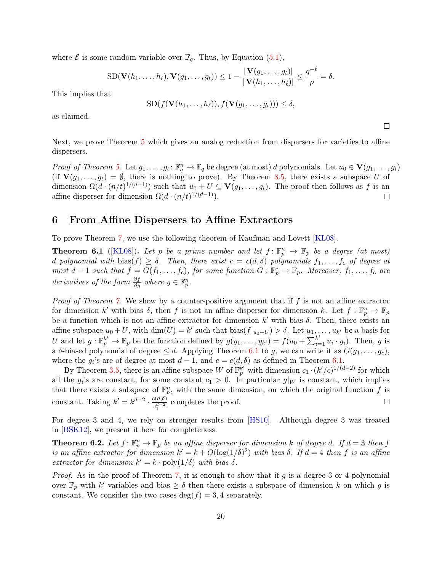where  $\mathcal E$  is some random variable over  $\mathbb F_q$ . Thus, by Equation [\(5.1\)](#page-20-2),

$$
\mathrm{SD}(\mathbf{V}(h_1,\ldots,h_\ell),\mathbf{V}(g_1,\ldots,g_t))\leq 1-\frac{|\mathbf{V}(g_1,\ldots,g_t)|}{|\mathbf{V}(h_1,\ldots,h_\ell)|}\leq \frac{q^{-\ell}}{\rho}=\delta.
$$

This implies that

$$
SD(f(\mathbf{V}(h_1,\ldots,h_\ell)),f(\mathbf{V}(g_1,\ldots,g_t))) \leq \delta,
$$

as claimed.

Next, we prove Theorem [5](#page-7-0) which gives an analog reduction from dispersers for varieties to affine dispersers.

Proof of Theorem [5.](#page-7-0) Let  $g_1, \ldots, g_t : \mathbb{F}_q^n \to \mathbb{F}_q$  be degree (at most) d polynomials. Let  $u_0 \in \mathbf{V}(g_1, \ldots, g_t)$ (if  $\mathbf{V}(g_1,\ldots,g_t) = \emptyset$ , there is nothing to prove). By Theorem [3.5,](#page-17-1) there exists a subspace U of dimension  $\Omega(d \cdot (n/t)^{1/(d-1)})$  such that  $u_0 + U \subseteq V(g_1, \ldots, g_t)$ . The proof then follows as f is an affine disperser for dimension  $\Omega(d \cdot (n/t)^{1/(d-1)})$ .  $\Box$ 

## <span id="page-21-0"></span>6 From Affine Dispersers to Affine Extractors

To prove Theorem [7,](#page-7-2) we use the following theorem of Kaufman and Lovett [\[KL08\]](#page-25-10).

<span id="page-21-2"></span>**Theorem 6.1** ([\[KL08\]](#page-25-10)). Let p be a prime number and let  $f: \mathbb{F}_p^n \to \mathbb{F}_p$  be a degree (at most) d polynomial with bias(f)  $\geq \delta$ . Then, there exist  $c = c(d, \delta)$  polynomials  $f_1, \ldots, f_c$  of degree at most  $d-1$  such that  $f = G(f_1, \ldots, f_c)$ , for some function  $G : \mathbb{F}_p^c \to \mathbb{F}_p$ . Moreover,  $f_1, \ldots, f_c$  are derivatives of the form  $\frac{\partial f}{\partial y}$  where  $y \in \mathbb{F}_p^n$ .

*Proof of Theorem [7.](#page-7-2)* We show by a counter-positive argument that if  $f$  is not an affine extractor for dimension k' with bias  $\delta$ , then f is not an affine disperser for dimension k. Let  $f: \mathbb{F}_p^n \to \mathbb{F}_p$ be a function which is not an affine extractor for dimension k' with bias  $\delta$ . Then, there exists an affine subspace  $u_0 + U$ , with  $\dim(U) = k'$  such that  $\text{bias}(f|_{u_0+U}) > \delta$ . Let  $u_1, \ldots, u_{k'}$  be a basis for U and let  $g: \mathbb{F}_p^{k'} \to \mathbb{F}_p$  be the function defined by  $g(y_1, \ldots, y_{k'}) = f(u_0 + \sum_{i=1}^{k'} u_i \cdot y_i)$ . Then, g is a δ-biased polynomial of degree  $\leq d$ . Applying Theorem [6.1](#page-21-2) to g, we can write it as  $G(g_1, \ldots, g_c)$ , where the  $g_i$ 's are of degree at most  $d-1$ , and  $c = c(d, \delta)$  as defined in Theorem [6.1.](#page-21-2)

By Theorem [3.5,](#page-17-1) there is an affine subspace W of  $\mathbb{F}_p^{k'}$  with dimension  $c_1 \cdot (k'/c)^{1/(d-2)}$  for which all the  $g_i$ 's are constant, for some constant  $c_1 > 0$ . In particular  $g|_W$  is constant, which implies that there exists a subspace of  $\mathbb{F}_p^n$ , with the same dimension, on which the original function f is constant. Taking  $k' = k^{d-2} \cdot \frac{c(d,\delta)}{d-2}$  $\frac{c(a,0)}{c_1^{d-2}}$  completes the proof.  $\Box$ 

For degree 3 and 4, we rely on stronger results from [\[HS10\]](#page-25-5). Although degree 3 was treated in [\[BSK12\]](#page-25-1), we present it here for completeness.

<span id="page-21-1"></span>**Theorem 6.2.** Let  $f: \mathbb{F}_p^n \to \mathbb{F}_p$  be an affine disperser for dimension k of degree d. If  $d = 3$  then f is an affine extractor for dimension  $k' = k + O(\log(1/\delta)^2)$  with bias  $\delta$ . If  $d = 4$  then f is an affine extractor for dimension  $k' = k \cdot \text{poly}(1/\delta)$  with bias  $\delta$ .

Proof. As in the proof of Theorem [7,](#page-7-2) it is enough to show that if g is a degree 3 or 4 polynomial over  $\mathbb{F}_p$  with k' variables and bias  $\geq \delta$  then there exists a subspace of dimension k on which g is constant. We consider the two cases  $\deg(f) = 3, 4$  separately.

 $\Box$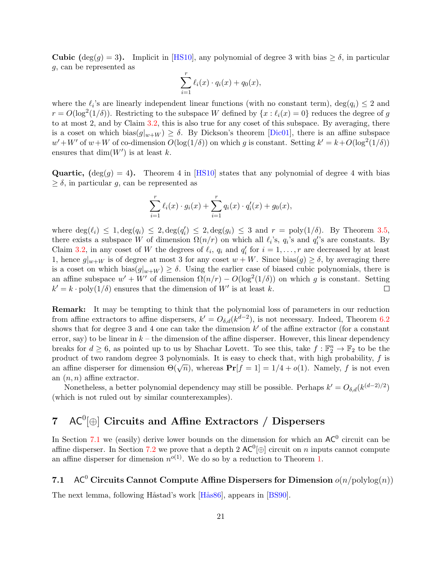**Cubic** (deg(g) = 3). Implicit in [\[HS10\]](#page-25-5), any polynomial of degree 3 with bias  $\geq \delta$ , in particular g, can be represented as

$$
\sum_{i=1}^r \ell_i(x) \cdot q_i(x) + q_0(x),
$$

where the  $\ell_i$ 's are linearly independent linear functions (with no constant term),  $\deg(q_i) \leq 2$  and  $r = O(\log^2(1/\delta))$ . Restricting to the subspace W defined by  $\{x : \ell_i(x) = 0\}$  reduces the degree of g to at most 2, and by Claim [3.2,](#page-15-1) this is also true for any coset of this subspace. By averaging, there is a coset on which bias $(g|_{w+W}) \ge \delta$ . By Dickson's theorem [\[Dic01\]](#page-25-4), there is an affine subspace  $w' + W'$  of  $w + W$  of co-dimension  $O(\log(1/\delta))$  on which g is constant. Setting  $k' = k + O(\log^2(1/\delta))$ ensures that  $\dim(W')$  is at least k.

**Quartic,**  $(\deg(g) = 4)$ . Theorem 4 in [\[HS10\]](#page-25-5) states that any polynomial of degree 4 with bias  $\geq \delta$ , in particular g, can be represented as

$$
\sum_{i=1}^r \ell_i(x) \cdot g_i(x) + \sum_{i=1}^r q_i(x) \cdot q'_i(x) + g_0(x),
$$

where  $\deg(\ell_i) \leq 1, \deg(q_i) \leq 2, \deg(q_i) \leq 2, \deg(g_i) \leq 3$  and  $r = \text{poly}(1/\delta)$ . By Theorem [3.5,](#page-17-1) there exists a subspace W of dimension  $\Omega(n/r)$  on which all  $\ell_i$ 's,  $q_i$ 's and  $q_i'$ 's are constants. By Claim [3.2,](#page-15-1) in any coset of W the degrees of  $\ell_i$ ,  $q_i$  and  $q'_i$  for  $i = 1, \ldots, r$  are decreased by at least 1, hence  $g|_{w+W}$  is of degree at most 3 for any coset  $w+W$ . Since bias $(g) \ge \delta$ , by averaging there is a coset on which bias $(g|_{w+W}) \ge \delta$ . Using the earlier case of biased cubic polynomials, there is an affine subspace  $w' + W'$  of dimension  $\Omega(n/r) - O(\log^2(1/\delta))$  on which g is constant. Setting  $k' = k \cdot \text{poly}(1/\delta)$  ensures that the dimension of W' is at least k.  $\Box$ 

Remark: It may be tempting to think that the polynomial loss of parameters in our reduction from affine extractors to affine dispersers,  $k' = O_{\delta,d}(k^{d-2})$ , is not necessary. Indeed, Theorem [6.2](#page-21-1) shows that for degree 3 and 4 one can take the dimension  $k'$  of the affine extractor (for a constant error, say) to be linear in  $k -$  the dimension of the affine disperser. However, this linear dependency breaks for  $d \geq 6$ , as pointed up to us by Shachar Lovett. To see this, take  $f : \mathbb{F}_2^n \to \mathbb{F}_2$  to be the product of two random degree 3 polynomials. It is easy to check that, with high probability, f is product of two random degree 3 polynomials. It is easy to check that, with high probability, f is<br>an affine disperser for dimension  $\Theta(\sqrt{n})$ , whereas  $\Pr[f = 1] = 1/4 + o(1)$ . Namely, f is not even an  $(n, n)$  affine extractor.

Nonetheless, a better polynomial dependency may still be possible. Perhaps  $k' = O_{\delta,d}(k^{(d-2)/2})$ (which is not ruled out by similar counterexamples).

# <span id="page-22-0"></span>7  $AC^0[\oplus]$  Circuits and Affine Extractors / Dispersers

In Section [7.1](#page-22-1) we (easily) derive lower bounds on the dimension for which an  $AC^0$  circuit can be affine disperser. In Section [7.2](#page-23-0) we prove that a depth 2  $AC^0[\oplus]$  circuit on n inputs cannot compute an affine disperser for dimension  $n^{o(1)}$ . We do so by a reduction to Theorem [1.](#page-3-0)

# <span id="page-22-1"></span>7.1 AC<sup>0</sup> Circuits Cannot Compute Affine Dispersers for Dimension  $o(n/\text{polylog}(n))$

<span id="page-22-2"></span>The next lemma, following Håstad's work [Hås86], appears in [\[BS90\]](#page-24-4).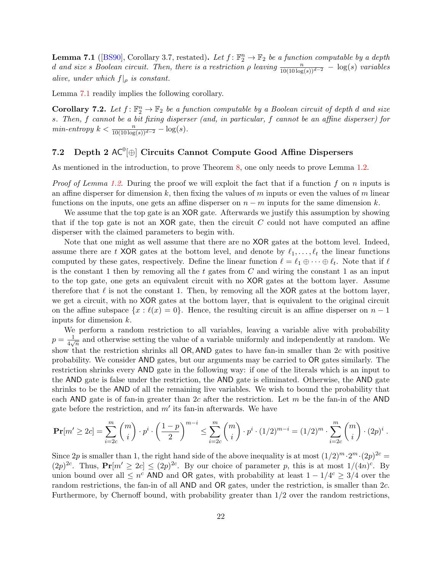**Lemma 7.1** ([\[BS90\]](#page-24-4), Corollary 3.7, restated). Let  $f: \mathbb{F}_2^n \to \mathbb{F}_2$  be a function computable by a depth d and size s Boolean circuit. Then, there is a restriction  $\rho$  leaving  $\frac{n}{10(10 \log(s))^{d-2}} - \log(s)$  variables alive, under which  $f|_{\rho}$  is constant.

Lemma [7.1](#page-22-2) readily implies the following corollary.

<span id="page-23-1"></span>**Corollary 7.2.** Let  $f: \mathbb{F}_2^n \to \mathbb{F}_2$  be a function computable by a Boolean circuit of depth d and size s. Then, f cannot be a bit fixing disperser (and, in particular, f cannot be an affine disperser) for  $min\text{-}entropy \; k < \frac{n}{10(10\log(s))^{d-2}} - \log(s).$ 

# <span id="page-23-0"></span>7.2 Depth 2  $AC^0[\oplus]$  Circuits Cannot Compute Good Affine Dispersers

As mentioned in the introduction, to prove Theorem [8,](#page-9-3) one only needs to prove Lemma [1.2.](#page-9-0)

*Proof of Lemma [1.2.](#page-9-0)* During the proof we will exploit the fact that if a function f on n inputs is an affine disperser for dimension k, then fixing the values of  $m$  inputs or even the values of  $m$  linear functions on the inputs, one gets an affine disperser on  $n - m$  inputs for the same dimension k.

We assume that the top gate is an XOR gate. Afterwards we justify this assumption by showing that if the top gate is not an XOR gate, then the circuit  $C$  could not have computed an affine disperser with the claimed parameters to begin with.

Note that one might as well assume that there are no XOR gates at the bottom level. Indeed, assume there are t XOR gates at the bottom level, and denote by  $\ell_1, \ldots, \ell_t$  the linear functions computed by these gates, respectively. Define the linear function  $\ell = \ell_1 \oplus \cdots \oplus \ell_t$ . Note that if  $\ell$ is the constant 1 then by removing all the t gates from  $C$  and wiring the constant 1 as an input to the top gate, one gets an equivalent circuit with no XOR gates at the bottom layer. Assume therefore that  $\ell$  is not the constant 1. Then, by removing all the XOR gates at the bottom layer, we get a circuit, with no XOR gates at the bottom layer, that is equivalent to the original circuit on the affine subspace  $\{x : \ell(x) = 0\}$ . Hence, the resulting circuit is an affine disperser on  $n - 1$ inputs for dimension k.

We perform a random restriction to all variables, leaving a variable alive with probability  $p=\frac{1}{4\pi r}$  $\frac{1}{4\sqrt{n}}$  and otherwise setting the value of a variable uniformly and independently at random. We show that the restriction shrinks all OR, AND gates to have fan-in smaller than 2c with positive probability. We consider AND gates, but our arguments may be carried to OR gates similarly. The restriction shrinks every AND gate in the following way: if one of the literals which is an input to the AND gate is false under the restriction, the AND gate is eliminated. Otherwise, the AND gate shrinks to be the AND of all the remaining live variables. We wish to bound the probability that each AND gate is of fan-in greater than  $2c$  after the restriction. Let m be the fan-in of the AND gate before the restriction, and  $m'$  its fan-in afterwards. We have

$$
\Pr[m' \ge 2c] = \sum_{i=2c}^{m} {m \choose i} \cdot p^i \cdot \left(\frac{1-p}{2}\right)^{m-i} \le \sum_{i=2c}^{m} {m \choose i} \cdot p^i \cdot (1/2)^{m-i} = (1/2)^m \cdot \sum_{i=2c}^{m} {m \choose i} \cdot (2p)^i.
$$

Since 2p is smaller than 1, the right hand side of the above inequality is at most  $(1/2)^m \cdot 2^m \cdot (2p)^{2c} =$  $(2p)^{2c}$ . Thus,  $Pr[m' \geq 2c] \leq (2p)^{2c}$ . By our choice of parameter p, this is at most  $1/(4n)^{c}$ . By union bound over all  $\leq n^c$  AND and OR gates, with probability at least  $1 - 1/4^c \geq 3/4$  over the random restrictions, the fan-in of all AND and OR gates, under the restriction, is smaller than 2c. Furthermore, by Chernoff bound, with probability greater than 1/2 over the random restrictions,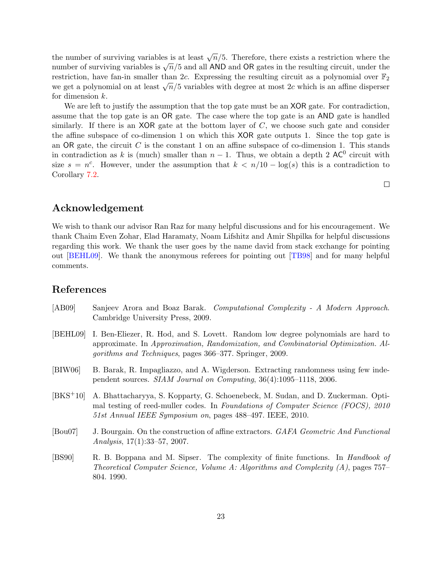the number of surviving variables is at least  $\sqrt{n}/5$ . Therefore, there exists a restriction where the number of surviving variables is at least  $\sqrt{n}/5$ . Therefore, there exists a restriction where the number of surviving variables is  $\sqrt{n}/5$  and all AND and OR gates in the resulting circuit, under the restriction, have fan-in smaller than 2c. Expressing the resulting circuit as a polynomial over  $\mathbb{F}_2$ restriction, have fan-in smaller than 2c. Expressing the resulting circuit as a polynomial over  $\mathbb{F}_2$  we get a polynomial on at least  $\sqrt{n}/5$  variables with degree at most 2c which is an affine disperser for dimension k.

We are left to justify the assumption that the top gate must be an **XOR** gate. For contradiction, assume that the top gate is an OR gate. The case where the top gate is an AND gate is handled similarly. If there is an XOR gate at the bottom layer of  $C$ , we choose such gate and consider the affine subspace of co-dimension 1 on which this XOR gate outputs 1. Since the top gate is an OR gate, the circuit  $C$  is the constant 1 on an affine subspace of co-dimension 1. This stands in contradiction as k is (much) smaller than  $n-1$ . Thus, we obtain a depth 2 AC<sup>0</sup> circuit with size  $s = n^c$ . However, under the assumption that  $k < n/10 - \log(s)$  this is a contradiction to Corollary [7.2.](#page-23-1)

 $\Box$ 

## Acknowledgement

We wish to thank our advisor Ran Raz for many helpful discussions and for his encouragement. We thank Chaim Even Zohar, Elad Haramaty, Noam Lifshitz and Amir Shpilka for helpful discussions regarding this work. We thank the user goes by the name david from stack exchange for pointing out [\[BEHL09\]](#page-24-2). We thank the anonymous referees for pointing out [\[TB98\]](#page-26-2) and for many helpful comments.

## References

- <span id="page-24-5"></span>[AB09] Sanjeev Arora and Boaz Barak. Computational Complexity - A Modern Approach. Cambridge University Press, 2009.
- <span id="page-24-2"></span>[BEHL09] I. Ben-Eliezer, R. Hod, and S. Lovett. Random low degree polynomials are hard to approximate. In Approximation, Randomization, and Combinatorial Optimization. Algorithms and Techniques, pages 366–377. Springer, 2009.
- <span id="page-24-1"></span>[BIW06] B. Barak, R. Impagliazzo, and A. Wigderson. Extracting randomness using few independent sources. SIAM Journal on Computing, 36(4):1095–1118, 2006.
- <span id="page-24-3"></span>[BKS+10] A. Bhattacharyya, S. Kopparty, G. Schoenebeck, M. Sudan, and D. Zuckerman. Optimal testing of reed-muller codes. In Foundations of Computer Science (FOCS), 2010 51st Annual IEEE Symposium on, pages 488–497. IEEE, 2010.
- <span id="page-24-0"></span>[Bou07] J. Bourgain. On the construction of affine extractors. GAFA Geometric And Functional Analysis, 17(1):33–57, 2007.
- <span id="page-24-4"></span>[BS90] R. B. Boppana and M. Sipser. The complexity of finite functions. In Handbook of Theoretical Computer Science, Volume A: Algorithms and Complexity  $(A)$ , pages 757– 804. 1990.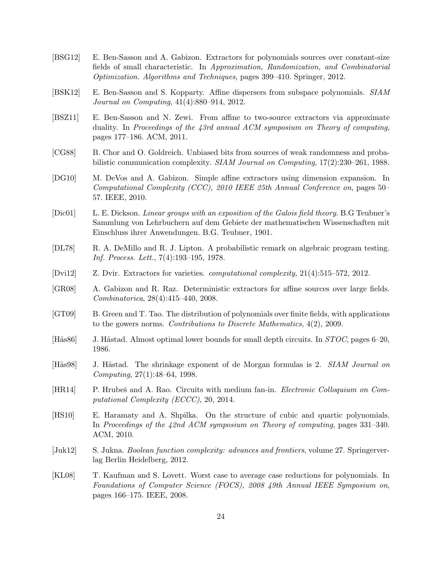- <span id="page-25-0"></span>[BSG12] E. Ben-Sasson and A. Gabizon. Extractors for polynomials sources over constant-size fields of small characteristic. In Approximation, Randomization, and Combinatorial Optimization. Algorithms and Techniques, pages 399–410. Springer, 2012.
- <span id="page-25-1"></span>[BSK12] E. Ben-Sasson and S. Kopparty. Affine dispersers from subspace polynomials. SIAM Journal on Computing, 41(4):880–914, 2012.
- <span id="page-25-9"></span>[BSZ11] E. Ben-Sasson and N. Zewi. From affine to two-source extractors via approximate duality. In Proceedings of the 43rd annual ACM symposium on Theory of computing, pages 177–186. ACM, 2011.
- <span id="page-25-2"></span>[CG88] B. Chor and O. Goldreich. Unbiased bits from sources of weak randomness and probabilistic communication complexity. SIAM Journal on Computing, 17(2):230–261, 1988.
- <span id="page-25-7"></span>[DG10] M. DeVos and A. Gabizon. Simple affine extractors using dimension expansion. In Computational Complexity (CCC), 2010 IEEE 25th Annual Conference on, pages 50– 57. IEEE, 2010.
- <span id="page-25-4"></span>[Dic01] L. E. Dickson. Linear groups with an exposition of the Galois field theory. B.G Teubner's Sammlung von Lehrbuchern auf dem Gebiete der mathematischen Wissenschaften mit Einschluss ihrer Anwendungen. B.G. Teubner, 1901.
- <span id="page-25-15"></span>[DL78] R. A. DeMillo and R. J. Lipton. A probabilistic remark on algebraic program testing. Inf. Process. Lett., 7(4):193–195, 1978.
- <span id="page-25-3"></span>[Dvi12] Z. Dvir. Extractors for varieties. computational complexity, 21(4):515–572, 2012.
- <span id="page-25-6"></span>[GR08] A. Gabizon and R. Raz. Deterministic extractors for affine sources over large fields. Combinatorica, 28(4):415–440, 2008.
- <span id="page-25-11"></span>[GT09] B. Green and T. Tao. The distribution of polynomials over finite fields, with applications to the gowers norms. Contributions to Discrete Mathematics, 4(2), 2009.
- <span id="page-25-12"></span>[Hås86] J. Håstad. Almost optimal lower bounds for small depth circuits. In  $STOC$ , pages 6–20, 1986.
- <span id="page-25-13"></span>[Hås98] J. Håstad. The shrinkage exponent of de Morgan formulas is 2. SIAM Journal on Computing, 27(1):48–64, 1998.
- <span id="page-25-8"></span>[HR14] P. Hrubes and A. Rao. Circuits with medium fan-in. *Electronic Colloquium on Com*putational Complexity (ECCC), 20, 2014.
- <span id="page-25-5"></span>[HS10] E. Haramaty and A. Shpilka. On the structure of cubic and quartic polynomials. In Proceedings of the 42nd ACM symposium on Theory of computing, pages 331–340. ACM, 2010.
- <span id="page-25-14"></span>[Juk12] S. Jukna. Boolean function complexity: advances and frontiers, volume 27. Springerverlag Berlin Heidelberg, 2012.
- <span id="page-25-10"></span>[KL08] T. Kaufman and S. Lovett. Worst case to average case reductions for polynomials. In Foundations of Computer Science (FOCS), 2008 49th Annual IEEE Symposium on, pages 166–175. IEEE, 2008.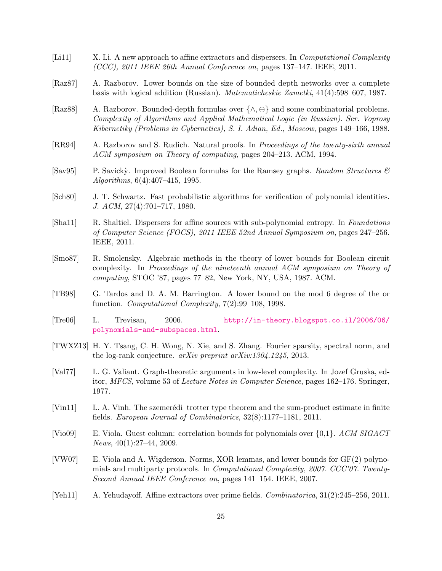- <span id="page-26-0"></span>[Li11] X. Li. A new approach to affine extractors and dispersers. In *Computational Complexity* (CCC), 2011 IEEE 26th Annual Conference on, pages 137–147. IEEE, 2011.
- <span id="page-26-14"></span>[Raz87] A. Razborov. Lower bounds on the size of bounded depth networks over a complete basis with logical addition (Russian). Matematicheskie Zametki, 41(4):598–607, 1987.
- <span id="page-26-9"></span>[Raz88] A. Razborov. Bounded-depth formulas over {∧, ⊕} and some combinatorial problems. Complexity of Algorithms and Applied Mathematical Logic (in Russian). Ser. Voprosy Kibernetiky (Problems in Cybernetics), S. I. Adian, Ed., Moscow, pages 149–166, 1988.
- <span id="page-26-11"></span>[RR94] A. Razborov and S. Rudich. Natural proofs. In Proceedings of the twenty-sixth annual ACM symposium on Theory of computing, pages 204–213. ACM, 1994.
- <span id="page-26-10"></span>[Sav $95$ ] P. Savicky. Improved Boolean formulas for the Ramsey graphs. Random Structures  $\mathcal{C}$ Algorithms, 6(4):407–415, 1995.
- <span id="page-26-13"></span>[Sch80] J. T. Schwartz. Fast probabilistic algorithms for verification of polynomial identities. J. ACM, 27(4):701–717, 1980.
- <span id="page-26-7"></span>[Sha11] R. Shaltiel. Dispersers for affine sources with sub-polynomial entropy. In Foundations of Computer Science (FOCS), 2011 IEEE 52nd Annual Symposium on, pages 247–256. IEEE, 2011.
- <span id="page-26-15"></span>[Smo87] R. Smolensky. Algebraic methods in the theory of lower bounds for Boolean circuit complexity. In Proceedings of the nineteenth annual ACM symposium on Theory of computing, STOC '87, pages 77–82, New York, NY, USA, 1987. ACM.
- <span id="page-26-2"></span>[TB98] G. Tardos and D. A. M. Barrington. A lower bound on the mod 6 degree of the or function. Computational Complexity, 7(2):99–108, 1998.
- <span id="page-26-3"></span>[Tre06] L. Trevisan, 2006. [http://in-theory.blogspot.co.il/2006/06/](http://in-theory.blogspot.co.il/2006/06/polynomials-and-subspaces.html) [polynomials-and-subspaces.html](http://in-theory.blogspot.co.il/2006/06/polynomials-and-subspaces.html).
- <span id="page-26-4"></span>[TWXZ13] H. Y. Tsang, C. H. Wong, N. Xie, and S. Zhang. Fourier sparsity, spectral norm, and the log-rank conjecture. arXiv preprint arXiv:1304.1245, 2013.
- <span id="page-26-8"></span>[Val77] L. G. Valiant. Graph-theoretic arguments in low-level complexity. In Jozef Gruska, editor, MFCS, volume 53 of Lecture Notes in Computer Science, pages 162–176. Springer, 1977.
- <span id="page-26-5"></span>[Vin11] L. A. Vinh. The szemerédi–trotter type theorem and the sum-product estimate in finite fields. European Journal of Combinatorics, 32(8):1177–1181, 2011.
- <span id="page-26-12"></span>[Vio09] E. Viola. Guest column: correlation bounds for polynomials over {0,1}. ACM SIGACT News, 40(1):27–44, 2009.
- <span id="page-26-6"></span>[VW07] E. Viola and A. Wigderson. Norms, XOR lemmas, and lower bounds for GF(2) polynomials and multiparty protocols. In Computational Complexity, 2007. CCC'07. Twenty-Second Annual IEEE Conference on, pages 141–154. IEEE, 2007.
- <span id="page-26-1"></span>[Yeh11] A. Yehudayoff. Affine extractors over prime fields. Combinatorica, 31(2):245–256, 2011.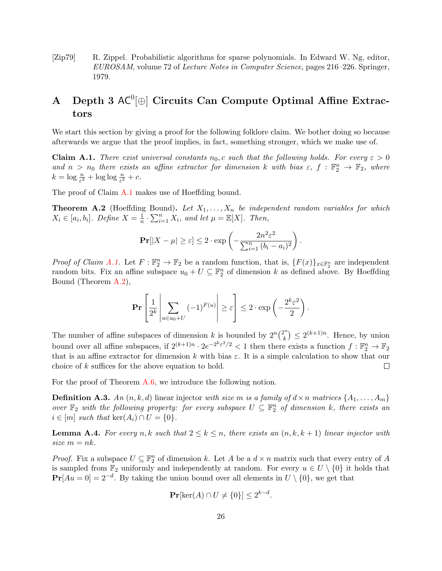<span id="page-27-2"></span>[Zip79] R. Zippel. Probabilistic algorithms for sparse polynomials. In Edward W. Ng, editor, EUROSAM, volume 72 of Lecture Notes in Computer Science, pages 216–226. Springer, 1979.

# <span id="page-27-0"></span>A Depth 3  $AC^0[\oplus]$  Circuits Can Compute Optimal Affine Extractors

We start this section by giving a proof for the following folklore claim. We bother doing so because afterwards we argue that the proof implies, in fact, something stronger, which we make use of.

<span id="page-27-1"></span>**Claim A.1.** There exist universal constants  $n_0$ , c such that the following holds. For every  $\varepsilon > 0$ and  $n > n_0$  there exists an affine extractor for dimension k with bias  $\varepsilon$ ,  $f : \mathbb{F}_2^n \to \mathbb{F}_2$ , where  $k = \log \frac{n}{\varepsilon^2} + \log \log \frac{n}{\varepsilon^2} + c.$ 

<span id="page-27-3"></span>The proof of Claim [A.1](#page-27-1) makes use of Hoeffding bound.

**Theorem A.2** (Hoeffding Bound). Let  $X_1, \ldots, X_n$  be independent random variables for which  $X_i \in [a_i, b_i]$ . Define  $X = \frac{1}{n}$  $\frac{1}{n} \cdot \sum_{i=1}^{n} X_i$ , and let  $\mu = \mathbb{E}[X]$ . Then,

$$
\mathbf{Pr}[|X - \mu| \ge \varepsilon] \le 2 \cdot \exp\left(-\frac{2n^2\varepsilon^2}{\sum_{i=1}^n (b_i - a_i)^2}\right).
$$

*Proof of Claim [A.1.](#page-27-1)* Let  $F: \mathbb{F}_2^n \to \mathbb{F}_2$  be a random function, that is,  $\{F(x)\}_{x \in \mathbb{F}_2^n}$  are independent random bits. Fix an affine subspace  $u_0 + U \subseteq \mathbb{F}_2^n$  of dimension k as defined above. By Hoeffding Bound (Theorem [A.2\)](#page-27-3),

$$
\Pr\left[\frac{1}{2^k}\left|\sum_{u\in u_0+U}(-1)^{F(u)}\right|\geq \varepsilon\right]\leq 2\cdot \exp\left(-\frac{2^k\varepsilon^2}{2}\right).
$$

The number of affine subspaces of dimension k is bounded by  $2^n {2^n \choose k}$  $\binom{n}{k} \leq 2^{(k+1)n}$ . Hence, by union bound over all affine subspaces, if  $2^{(k+1)n} \cdot 2e^{-2^k \varepsilon^2/2} < 1$  then there exists a function  $f : \mathbb{F}_2^n \to \mathbb{F}_2$ that is an affine extractor for dimension k with bias  $\varepsilon$ . It is a simple calculation to show that our choice of k suffices for the above equation to hold.  $\Box$ 

For the proof of Theorem [A.6,](#page-28-0) we introduce the following notion.

**Definition A.3.** An  $(n, k, d)$  linear injector with size m is a family of  $d \times n$  matrices  $\{A_1, \ldots, A_m\}$ over  $\mathbb{F}_2$  with the following property: for every subspace  $U \subseteq \mathbb{F}_2^n$  of dimension k, there exists an  $i \in [m]$  such that ker $(A_i) \cap U = \{0\}.$ 

<span id="page-27-4"></span>**Lemma A.4.** For every n, k such that  $2 \leq k \leq n$ , there exists an  $(n, k, k+1)$  linear injector with size  $m = nk$ .

*Proof.* Fix a subspace  $U \subseteq \mathbb{F}_2^n$  of dimension k. Let A be a  $d \times n$  matrix such that every entry of A is sampled from  $\mathbb{F}_2$  uniformly and independently at random. For every  $u \in U \setminus \{0\}$  it holds that  $\Pr[Au=0] = 2^{-d}$ . By taking the union bound over all elements in  $U \setminus \{0\}$ , we get that

$$
\mathbf{Pr}[\ker(A) \cap U \neq \{0\}] \le 2^{k-d}.
$$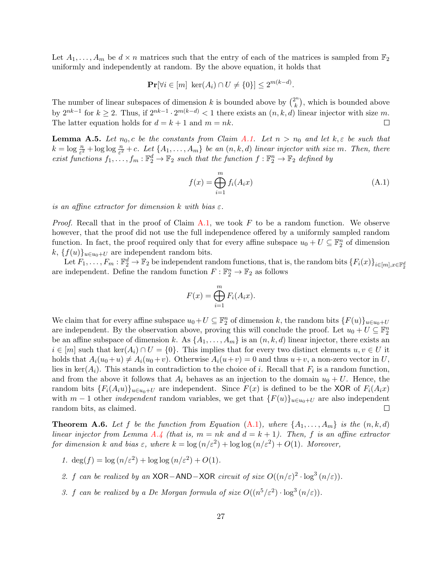Let  $A_1, \ldots, A_m$  be  $d \times n$  matrices such that the entry of each of the matrices is sampled from  $\mathbb{F}_2$ uniformly and independently at random. By the above equation, it holds that

$$
\mathbf{Pr}[\forall i \in [m] \ \ker(A_i) \cap U \neq \{0\}] \le 2^{m(k-d)}.
$$

The number of linear subspaces of dimension k is bounded above by  $\binom{2^n}{k}$  $\binom{n}{k}$ , which is bounded above by  $2^{nk-1}$  for  $k \geq 2$ . Thus, if  $2^{nk-1} \cdot 2^{m(k-d)} < 1$  there exists an  $(n, k, d)$  linear injector with size m. The latter equation holds for  $d = k + 1$  and  $m = nk$ .  $\Box$ 

**Lemma A.5.** Let  $n_0$ , c be the constants from Claim [A.1.](#page-27-1) Let  $n > n_0$  and let  $k, \varepsilon$  be such that  $k = \log \frac{n}{\varepsilon^2} + \log \log \frac{n}{\varepsilon^2} + c$ . Let  $\{A_1, \ldots, A_m\}$  be an  $(n, k, d)$  linear injector with size m. Then, there exist functions  $f_1, \ldots, f_m : \mathbb{F}_2^d \to \mathbb{F}_2$  such that the function  $f : \mathbb{F}_2^n \to \mathbb{F}_2$  defined by

<span id="page-28-1"></span>
$$
f(x) = \bigoplus_{i=1}^{m} f_i(A_i x) \tag{A.1}
$$

is an affine extractor for dimension k with bias  $\varepsilon$ .

*Proof.* Recall that in the proof of Claim [A.1,](#page-27-1) we took  $F$  to be a random function. We observe however, that the proof did not use the full independence offered by a uniformly sampled random function. In fact, the proof required only that for every affine subspace  $u_0 + U \subseteq \mathbb{F}_2^n$  of dimension k,  $\{f(u)\}_{u\in u_0+U}$  are independent random bits.

Let  $F_1, \ldots, F_m : \mathbb{F}_2^d \to \mathbb{F}_2$  be independent random functions, that is, the random bits  $\{F_i(x)\}_{i \in [m], x \in \mathbb{F}_2^d}$ are independent. Define the random function  $F: \mathbb{F}_2^n \to \mathbb{F}_2$  as follows

$$
F(x) = \bigoplus_{i=1}^{m} F_i(A_i x).
$$

We claim that for every affine subspace  $u_0+U \subseteq \mathbb{F}_2^n$  of dimension k, the random bits  $\{F(u)\}_{u\in u_0+U}$ are independent. By the observation above, proving this will conclude the proof. Let  $u_0 + U \subseteq \mathbb{F}_2^n$ be an affine subspace of dimension k. As  $\{A_1, \ldots, A_m\}$  is an  $(n, k, d)$  linear injector, there exists an  $i \in [m]$  such that ker $(A_i) \cap U = \{0\}$ . This implies that for every two distinct elements  $u, v \in U$  it holds that  $A_i(u_0+u) \neq A_i(u_0+v)$ . Otherwise  $A_i(u+v) = 0$  and thus  $u+v$ , a non-zero vector in U, lies in ker $(A_i)$ . This stands in contradiction to the choice of i. Recall that  $F_i$  is a random function, and from the above it follows that  $A_i$  behaves as an injection to the domain  $u_0 + U$ . Hence, the random bits  $\{F_i(A_iu)\}_{u\in u_0+U}$  are independent. Since  $F(x)$  is defined to be the XOR of  $F_i(A_ix)$ with  $m-1$  other *independent* random variables, we get that  ${F(u)}_{u\in u_0+U}$  are also independent random bits, as claimed.  $\Box$ 

<span id="page-28-0"></span>**Theorem A.6.** Let f be the function from Equation  $(A.1)$ , where  $\{A_1, \ldots, A_m\}$  is the  $(n, k, d)$ linear injector from Lemma [A.4](#page-27-4) (that is,  $m = nk$  and  $d = k + 1$ ). Then, f is an affine extractor for dimension k and bias  $\varepsilon$ , where  $k = \log(n/\varepsilon^2) + \log \log(n/\varepsilon^2) + O(1)$ . Moreover,

- 1.  $\deg(f) = \log(n/\varepsilon^2) + \log \log(n/\varepsilon^2) + O(1)$ .
- 2. f can be realized by an XOR−AND−XOR circuit of size  $O((n/\varepsilon)^2 \cdot \log^3(n/\varepsilon))$ .
- 3. f can be realized by a De Morgan formula of size  $O((n^5/\varepsilon^2) \cdot \log^3{(n/\varepsilon)})$ .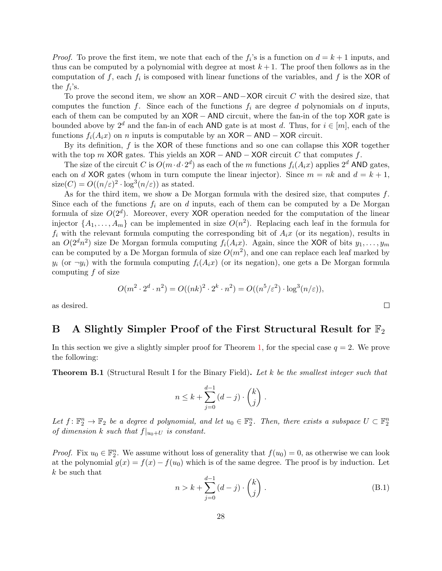*Proof.* To prove the first item, we note that each of the  $f_i$ 's is a function on  $d = k + 1$  inputs, and thus can be computed by a polynomial with degree at most  $k+1$ . The proof then follows as in the computation of f, each  $f_i$  is composed with linear functions of the variables, and f is the XOR of the  $f_i$ 's.

To prove the second item, we show an XOR−AND−XOR circuit C with the desired size, that computes the function f. Since each of the functions  $f_i$  are degree d polynomials on d inputs, each of them can be computed by an  $XOR - AND$  circuit, where the fan-in of the top  $XOR$  gate is bounded above by  $2^d$  and the fan-in of each AND gate is at most d. Thus, for  $i \in [m]$ , each of the functions  $f_i(A_ix)$  on n inputs is computable by an XOR – AND – XOR circuit.

By its definition, f is the XOR of these functions and so one can collapse this XOR together with the top m XOR gates. This yields an  $XOR - AND - XOR$  circuit C that computes f.

The size of the circuit C is  $O(m \cdot d \cdot 2^d)$  as each of the m functions  $f_i(A_ix)$  applies  $2^d$  AND gates, each on d XOR gates (whom in turn compute the linear injector). Since  $m = nk$  and  $d = k + 1$ ,  $size(C) = O((n/\varepsilon)^2 \cdot log^3(n/\varepsilon))$  as stated.

As for the third item, we show a De Morgan formula with the desired size, that computes  $f$ . Since each of the functions  $f_i$  are on d inputs, each of them can be computed by a De Morgan formula of size  $O(2^d)$ . Moreover, every XOR operation needed for the computation of the linear injector  $\{A_1, \ldots, A_m\}$  can be implemented in size  $O(n^2)$ . Replacing each leaf in the formula for  $f_i$  with the relevant formula computing the corresponding bit of  $A_ix$  (or its negation), results in an  $O(2^dn^2)$  size De Morgan formula computing  $f_i(A_ix)$ . Again, since the XOR of bits  $y_1, \ldots, y_m$ can be computed by a De Morgan formula of size  $O(m^2)$ , and one can replace each leaf marked by  $y_i$  (or  $\neg y_i$ ) with the formula computing  $f_i(A_ix)$  (or its negation), one gets a De Morgan formula computing  $f$  of size

$$
O(m^2 \cdot 2^d \cdot n^2) = O((nk)^2 \cdot 2^k \cdot n^2) = O((n^5/\varepsilon^2) \cdot \log^3(n/\varepsilon)),
$$

as desired.

## <span id="page-29-0"></span>B A Slightly Simpler Proof of the First Structural Result for  $\mathbb{F}_2$

In this section we give a slightly simpler proof for Theorem [1,](#page-3-0) for the special case  $q = 2$ . We prove the following:

<span id="page-29-2"></span>**Theorem B.1** (Structural Result I for the Binary Field). Let k be the smallest integer such that

$$
n \leq k + \sum_{j=0}^{d-1} (d-j) \cdot \binom{k}{j} .
$$

Let  $f: \mathbb{F}_2^n \to \mathbb{F}_2$  be a degree d polynomial, and let  $u_0 \in \mathbb{F}_2^n$ . Then, there exists a subspace  $U \subset \mathbb{F}_2^n$ of dimension k such that  $f|_{u_0+U}$  is constant.

<span id="page-29-1"></span>*Proof.* Fix  $u_0 \in \mathbb{F}_2^n$ . We assume without loss of generality that  $f(u_0) = 0$ , as otherwise we can look at the polynomial  $g(x) = f(x) - f(u_0)$  which is of the same degree. The proof is by induction. Let k be such that

$$
n > k + \sum_{j=0}^{d-1} (d-j) \cdot \binom{k}{j} \,. \tag{B.1}
$$

 $\Box$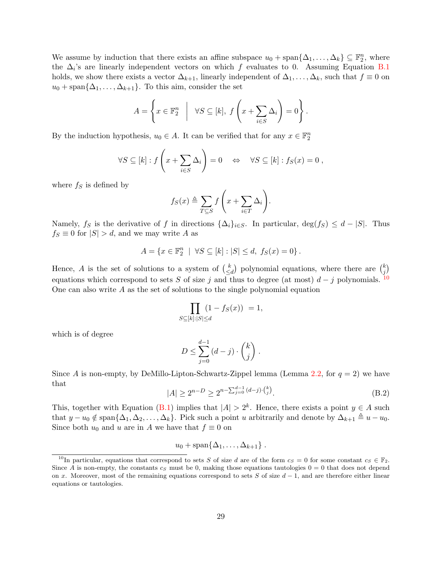We assume by induction that there exists an affine subspace  $u_0 + \text{span}\{\Delta_1, \ldots, \Delta_k\} \subseteq \mathbb{F}_2^n$ , where the  $\Delta_i$ 's are linearly independent vectors on which f evaluates to 0. Assuming Equation [B.1](#page-29-1) holds, we show there exists a vector  $\Delta_{k+1}$ , linearly independent of  $\Delta_1, \ldots, \Delta_k$ , such that  $f \equiv 0$  on  $u_0 + \text{span}\{\Delta_1, \ldots, \Delta_{k+1}\}.$  To this aim, consider the set

$$
A = \left\{ x \in \mathbb{F}_2^n \middle| \forall S \subseteq [k], f\left(x + \sum_{i \in S} \Delta_i\right) = 0 \right\}.
$$

By the induction hypothesis,  $u_0 \in A$ . It can be verified that for any  $x \in \mathbb{F}_2^n$ 

$$
\forall S \subseteq [k] : f\left(x + \sum_{i \in S} \Delta_i\right) = 0 \quad \Leftrightarrow \quad \forall S \subseteq [k] : f_S(x) = 0 ,
$$

where  $f_S$  is defined by

$$
f_S(x) \triangleq \sum_{T \subseteq S} f\left(x + \sum_{i \in T} \Delta_i\right).
$$

Namely, fs is the derivative of f in directions  $\{\Delta_i\}_{i\in S}$ . In particular,  $\deg(f_S) \leq d - |S|$ . Thus  $f_S \equiv 0$  for  $|S| > d$ , and we may write A as

$$
A = \{x \in \mathbb{F}_2^n \mid \forall S \subseteq [k] : |S| \le d, \ f_S(x) = 0\}.
$$

Hence, A is the set of solutions to a system of  $\binom{k}{\leq k}$  $\binom{k}{\leq d}$  polynomial equations, where there are  $\binom{k}{j}$  $_{j}^{k})$ equations which correspond to sets S of size j and thus to degree (at most)  $d - j$  polynomials. <sup>[10](#page-30-0)</sup> One can also write  $A$  as the set of solutions to the single polynomial equation

$$
\prod_{S \subseteq [k]:|S| \le d} (1 - f_S(x)) = 1,
$$

which is of degree

$$
D \le \sum_{j=0}^{d-1} (d-j) \cdot \binom{k}{j} \; .
$$

Since A is non-empty, by DeMillo-Lipton-Schwartz-Zippel lemma (Lemma [2.2,](#page-12-0) for  $q = 2$ ) we have that

$$
|A| \ge 2^{n-D} \ge 2^{n-\sum_{j=0}^{d-1} (d-j)\cdot {k \choose j}}.
$$
\n(B.2)

This, together with Equation [\(B.1\)](#page-29-1) implies that  $|A| > 2<sup>k</sup>$ . Hence, there exists a point  $y \in A$  such that  $y - u_0 \notin \text{span}\{\Delta_1, \Delta_2, \ldots, \Delta_k\}.$  Pick such a point u arbitrarily and denote by  $\Delta_{k+1} \triangleq u - u_0$ . Since both  $u_0$  and u are in A we have that  $f \equiv 0$  on

$$
u_0+\mathrm{span}\{\Delta_1,\ldots,\Delta_{k+1}\}\ .
$$

<span id="page-30-0"></span><sup>&</sup>lt;sup>10</sup>In particular, equations that correspond to sets S of size d are of the form  $c_S = 0$  for some constant  $c_S \in \mathbb{F}_2$ . Since A is non-empty, the constants  $c_s$  must be 0, making those equations tautologies  $0 = 0$  that does not depend on x. Moreover, most of the remaining equations correspond to sets S of size  $d-1$ , and are therefore either linear equations or tautologies.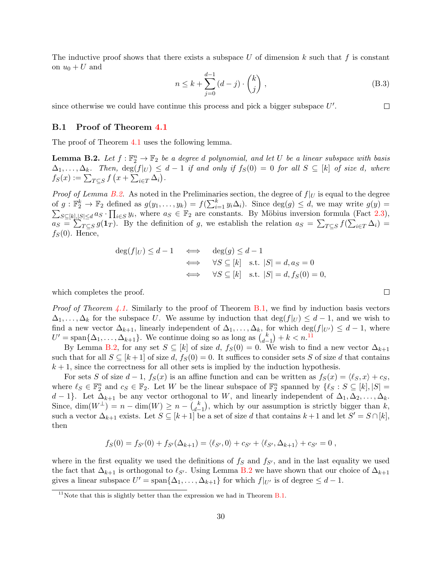The inductive proof shows that there exists a subspace U of dimension  $k$  such that  $f$  is constant on  $u_0 + U$  and

$$
n \le k + \sum_{j=0}^{d-1} (d-j) \cdot \binom{k}{j}, \tag{B.3}
$$

since otherwise we could have continue this process and pick a bigger subspace  $U'$ .

### <span id="page-31-0"></span>B.1 Proof of Theorem [4.1](#page-18-4)

<span id="page-31-1"></span>The proof of Theorem [4.1](#page-18-4) uses the following lemma.

**Lemma B.2.** Let  $f : \mathbb{F}_2^n \to \mathbb{F}_2$  be a degree d polynomial, and let U be a linear subspace with basis  $\Delta_1, \ldots, \Delta_k$ . Then,  $\deg(f|_U) \leq d-1$  if and only if  $f_S(0) = 0$  for all  $S \subseteq [k]$  of size d, where  $f_S(x) := \sum_{T \subseteq S} f(x + \sum_{i \in T} \Delta_i).$ 

*Proof of Lemma [B.2.](#page-31-1)* As noted in the Preliminaries section, the degree of  $f|_U$  is equal to the degree of  $g: \mathbb{F}_2^k \to \mathbb{F}_2$  defined as  $g(y_1, \ldots, y_k) = f(\sum_{i=1}^k)$ <br> $\sum_{S \subset [k] \setminus S \subset \{d\}} a_S \cdot \prod_{i \in S} y_i$ , where  $a_S \in \mathbb{F}_2$  are constant  $y_i \Delta_i$ ). Since  $deg(g) \leq d$ , we may write  $g(y) =$  $S\subseteq [k], |S|\leq d$  as  $\cdot \prod_{i\in S} y_i$ , where  $a_S \in \mathbb{F}_2$  are constants. By Möbius inversion formula (Fact [2.3\)](#page-12-1),  $a_S = \sum_{T \subseteq S} g(1_T)$ . By the definition of g, we establish the relation  $a_S = \sum_{T \subseteq S} f(\sum_{i \in T} \Delta_i) =$  $f_S(0)$ . Hence,

$$
\deg(f|_U) \le d - 1 \iff \deg(g) \le d - 1
$$
  

$$
\iff \forall S \subseteq [k] \text{ s.t. } |S| = d, a_S = 0
$$
  

$$
\iff \forall S \subseteq [k] \text{ s.t. } |S| = d, f_S(0) = 0,
$$

which completes the proof.

*Proof of Theorem [4.1.](#page-18-4)* Similarly to the proof of Theorem  $B.1$ , we find by induction basis vectors  $\Delta_1, \ldots, \Delta_k$  for the subspace U. We assume by induction that  $\deg(f|_U) \leq d-1$ , and we wish to find a new vector  $\Delta_{k+1}$ , linearly independent of  $\Delta_1, \ldots, \Delta_k$ , for which  $\deg(f|_{U'}) \leq d-1$ , where  $U' = \text{span}\{\Delta_1, \ldots, \Delta_{k+1}\}.$  We continue doing so as long as  $\binom{k}{d}$  $\binom{k}{d-1} + k < n$ .<sup>[11](#page-31-2)</sup>

By Lemma [B.2,](#page-31-1) for any set  $S \subseteq [k]$  of size d,  $f_S(0) = 0$ . We wish to find a new vector  $\Delta_{k+1}$ such that for all  $S \subseteq [k+1]$  of size d,  $f_S(0) = 0$ . It suffices to consider sets S of size d that contains  $k + 1$ , since the correctness for all other sets is implied by the induction hypothesis.

For sets S of size  $d-1$ ,  $f_S(x)$  is an affine function and can be written as  $f_S(x) = \langle \ell_S, x \rangle + c_S$ , where  $\ell_S \in \mathbb{F}_2^n$  and  $c_S \in \mathbb{F}_2$ . Let W be the linear subspace of  $\mathbb{F}_2^n$  spanned by  $\{\ell_S : S \subseteq [k], |S| = \ell_S\}$ d − 1}. Let  $\Delta_{k+1}$  be any vector orthogonal to W, and linearly independent of  $\Delta_1, \Delta_2, \ldots, \Delta_k$ . Since, dim $(W^{\perp}) = n - \dim(W) \geq n - {k \choose d}$  $\binom{k}{d-1}$ , which by our assumption is strictly bigger than k, such a vector  $\Delta_{k+1}$  exists. Let  $S \subseteq [k+1]$  be a set of size d that contains  $k+1$  and let  $S' = S \cap [k]$ , then

$$
f_S(0) = f_{S'}(0) + f_{S'}(\Delta_{k+1}) = \langle \ell_{S'}, 0 \rangle + c_{S'} + \langle \ell_{S'}, \Delta_{k+1} \rangle + c_{S'} = 0,
$$

where in the first equality we used the definitions of  $f<sub>S</sub>$  and  $f<sub>S'</sub>$ , and in the last equality we used the fact that  $\Delta_{k+1}$  is orthogonal to  $\ell_{S'}$ . Using Lemma [B.2](#page-31-1) we have shown that our choice of  $\Delta_{k+1}$ gives a linear subspace  $U' = \text{span}\{\Delta_1, \ldots, \Delta_{k+1}\}\$  for which  $f|_{U'}$  is of degree  $\leq d-1$ .

 $\Box$ 

 $\Box$ 

<span id="page-31-2"></span><sup>&</sup>lt;sup>11</sup>Note that this is slightly better than the expression we had in Theorem  $B.1$ .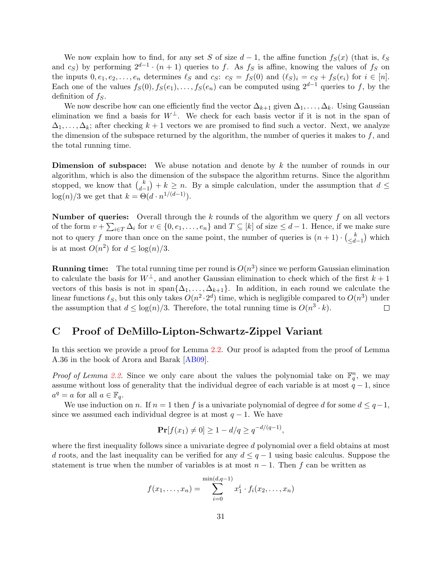We now explain how to find, for any set S of size  $d-1$ , the affine function  $f_S(x)$  (that is,  $\ell_S$ and  $c_S$ ) by performing  $2^{d-1} \cdot (n+1)$  queries to f. As  $f_S$  is affine, knowing the values of  $f_S$  on the inputs  $0, e_1, e_2, \ldots, e_n$  determines  $\ell_S$  and  $c_S$ :  $c_S = f_S(0)$  and  $(\ell_S)_i = c_S + f_S(e_i)$  for  $i \in [n]$ . Each one of the values  $f_S(0), f_S(e_1), \ldots, f_S(e_n)$  can be computed using  $2^{d-1}$  queries to f, by the definition of  $f<sub>S</sub>$ .

We now describe how can one efficiently find the vector  $\Delta_{k+1}$  given  $\Delta_1, \ldots, \Delta_k$ . Using Gaussian elimination we find a basis for  $W^{\perp}$ . We check for each basis vector if it is not in the span of  $\Delta_1, \ldots, \Delta_k$ ; after checking  $k+1$  vectors we are promised to find such a vector. Next, we analyze the dimension of the subspace returned by the algorithm, the number of queries it makes to  $f$ , and the total running time.

Dimension of subspace: We abuse notation and denote by k the number of rounds in our algorithm, which is also the dimension of the subspace the algorithm returns. Since the algorithm stopped, we know that  $\binom{k}{d}$  $\binom{k}{d-1} + k \geq n$ . By a simple calculation, under the assumption that  $d \leq$  $\log(n)/3$  we get that  $k = \Theta(d \cdot n^{1/(d-1)})$ .

**Number of queries:** Overall through the k rounds of the algorithm we query f on all vectors of the form  $v + \sum_{i \in T} \Delta_i$  for  $v \in \{0, e_1, \ldots, e_n\}$  and  $T \subseteq [k]$  of size  $\leq d-1$ . Hence, if we make sure not to query f more than once on the same point, the number of queries is  $(n+1) \cdot \binom{k}{d}$  $\left(\frac{k}{d-1}\right)$  which is at most  $O(n^2)$  for  $d \leq \log(n)/3$ .

**Running time:** The total running time per round is  $O(n^3)$  since we perform Gaussian elimination to calculate the basis for  $W^{\perp}$ , and another Gaussian elimination to check which of the first  $k+1$ vectors of this basis is not in span $\{\Delta_1, \ldots, \Delta_{k+1}\}\$ . In addition, in each round we calculate the linear functions  $\ell_S$ , but this only takes  $O(n^2 \cdot 2^d)$  time, which is negligible compared to  $O(n^3)$  under the assumption that  $d \leq \log(n)/3$ . Therefore, the total running time is  $O(n^3 \cdot k)$ .  $\Box$ 

## <span id="page-32-0"></span>C Proof of DeMillo-Lipton-Schwartz-Zippel Variant

In this section we provide a proof for Lemma [2.2.](#page-12-0) Our proof is adapted from the proof of Lemma A.36 in the book of Arora and Barak [\[AB09\]](#page-24-5).

*Proof of Lemma [2.2.](#page-12-0)* Since we only care about the values the polynomial take on  $\mathbb{F}_q^n$ , we may assume without loss of generality that the individual degree of each variable is at most  $q - 1$ , since  $a^q = a$  for all  $a \in \mathbb{F}_q$ .

We use induction on n. If  $n = 1$  then f is a univariate polynomial of degree d for some  $d \leq q-1$ , since we assumed each individual degree is at most  $q - 1$ . We have

$$
\Pr[f(x_1) \neq 0] \ge 1 - d/q \ge q^{-d/(q-1)},
$$

where the first inequality follows since a univariate degree d polynomial over a field obtains at most d roots, and the last inequality can be verified for any  $d \leq q-1$  using basic calculus. Suppose the statement is true when the number of variables is at most  $n-1$ . Then f can be written as

$$
f(x_1,...,x_n) = \sum_{i=0}^{\min(d,q-1)} x_1^i \cdot f_i(x_2,...,x_n)
$$